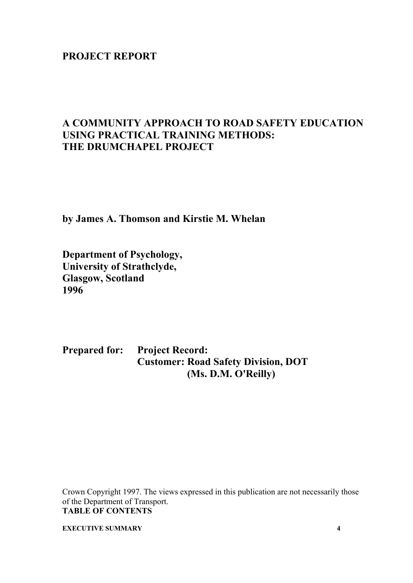# **PROJECT REPORT**

# **A COMMUNITY APPROACH TO ROAD SAFETY EDUCATION USING PRACTICAL TRAINING METHODS: THE DRUMCHAPEL PROJECT**

**by James A. Thomson and Kirstie M. Whelan** 

**Department of Psychology, University of Strathclyde, Glasgow, Scotland 1996** 

**Prepared for: Project Record: Customer: Road Safety Division, DOT (Ms. D.M. O'Reilly)** 

Crown Copyright 1997. The views expressed in this publication are not necessarily those of the Department of Transport. **TABLE OF CONTENTS** 

**EXECUTIVE SUMMARY** 4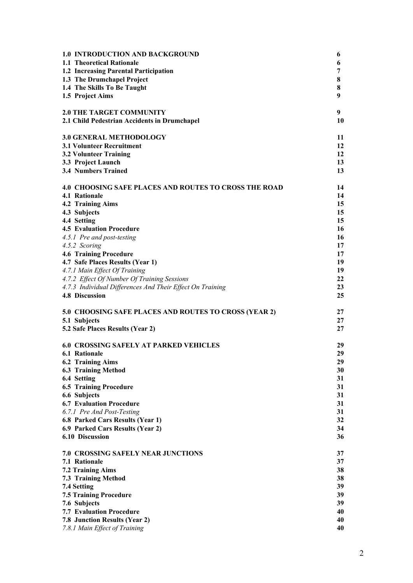| <b>1.0 INTRODUCTION AND BACKGROUND</b>                       | 6  |
|--------------------------------------------------------------|----|
| 1.1 Theoretical Rationale                                    | 6  |
| 1.2 Increasing Parental Participation                        | 7  |
| 1.3 The Drumchapel Project                                   | 8  |
| 1.4 The Skills To Be Taught                                  | 8  |
| 1.5 Project Aims                                             | 9  |
|                                                              |    |
| <b>2.0 THE TARGET COMMUNITY</b>                              | 9  |
| 2.1 Child Pedestrian Accidents in Drumchapel                 | 10 |
| <b>3.0 GENERAL METHODOLOGY</b>                               | 11 |
| <b>3.1 Volunteer Recruitment</b>                             | 12 |
| <b>3.2 Volunteer Training</b>                                | 12 |
| 3.3 Project Launch                                           | 13 |
| <b>3.4 Numbers Trained</b>                                   | 13 |
|                                                              |    |
| <b>4.0 CHOOSING SAFE PLACES AND ROUTES TO CROSS THE ROAD</b> | 14 |
| 4.1 Rationale                                                | 14 |
| 4.2 Training Aims                                            | 15 |
| 4.3 Subjects                                                 | 15 |
| 4.4 Setting                                                  | 15 |
| <b>4.5 Evaluation Procedure</b>                              | 16 |
| 4.5.1 Pre and post-testing                                   | 16 |
| 4.5.2 Scoring                                                | 17 |
| <b>4.6 Training Procedure</b>                                | 17 |
| 4.7 Safe Places Results (Year 1)                             | 19 |
| 4.7.1 Main Effect Of Training                                | 19 |
| 4.7.2 Effect Of Number Of Training Sessions                  | 22 |
| 4.7.3 Individual Differences And Their Effect On Training    | 23 |
| <b>4.8 Discussion</b>                                        | 25 |
| 5.0 CHOOSING SAFE PLACES AND ROUTES TO CROSS (YEAR 2)        | 27 |
| 5.1 Subjects                                                 | 27 |
| 5.2 Safe Places Results (Year 2)                             | 27 |
|                                                              |    |
| <b>6.0 CROSSING SAFELY AT PARKED VEHICLES</b>                | 29 |
| <b>6.1 Rationale</b>                                         | 29 |
| 6.2 Training Aims                                            | 29 |
| <b>6.3 Training Method</b>                                   | 30 |
| 6.4 Setting                                                  | 31 |
| <b>6.5 Training Procedure</b>                                | 31 |
| 6.6 Subjects                                                 | 31 |
| <b>6.7 Evaluation Procedure</b>                              | 31 |
| 6.7.1 Pre And Post-Testing                                   | 31 |
| 6.8 Parked Cars Results (Year 1)                             | 32 |
| 6.9 Parked Cars Results (Year 2)                             | 34 |
| 6.10 Discussion                                              | 36 |
| <b>7.0 CROSSING SAFELY NEAR JUNCTIONS</b>                    | 37 |
| 7.1 Rationale                                                | 37 |
| <b>7.2 Training Aims</b>                                     | 38 |
| <b>7.3 Training Method</b>                                   | 38 |
| 7.4 Setting                                                  | 39 |
| <b>7.5 Training Procedure</b>                                | 39 |
| 7.6 Subjects                                                 | 39 |
| <b>7.7 Evaluation Procedure</b>                              | 40 |
| 7.8 Junction Results (Year 2)                                | 40 |
| 7.8.1 Main Effect of Training                                | 40 |
|                                                              |    |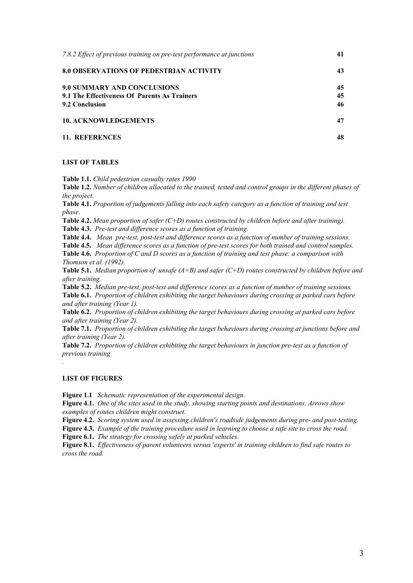| 7.8.2 Effect of previous training on pre-test performance at junctions                               | 41             |
|------------------------------------------------------------------------------------------------------|----------------|
| 8.0 OBSERVATIONS OF PEDESTRIAN ACTIVITY                                                              | 43             |
| <b>9.0 SUMMARY AND CONCLUSIONS</b><br>9.1 The Effectiveness Of Parents As Trainers<br>9.2 Conclusion | 45<br>45<br>46 |
| <b>10. ACKNOWLEDGEMENTS</b>                                                                          | 47             |
| 11. REFERENCES                                                                                       | 48             |

#### **LIST OF TABLES**

**Table 1.1.** *Child pedestrian casualty rates 1990* 

**Table 1.2.** *Number of children allocated to the trained, tested and control groups in the different phases of the project.*

**Table 4.1.** *Proportion of judgements falling into each safety category as a function of training and test phase.* 

**Table 4.2.** *Mean proportion of safer (C+D) routes constructed by children before and after training).*

**Table 4.3.** *Pre-test and difference scores as a function of training.*

**Table 4.4.** *Mean pre-test, post-test and difference scores as a function of number of training sessions.* 

**Table 4.5.** *Mean difference scores as a function of pre-test scores for both trained and control samples.* 

**Table 4.6.** *Proportion of C and D scores as a function of training and test phase: a comparison with Thomson et al. (1992).* 

**Table 5.1.** *Median proportion of unsafe (A+B) and safer (C+D) routes constructed by children before and after training.* 

**Table 5.2.** *Median pre-test, post-test and difference scores as a function of number of training sessions.* 

**Table 6.1.** *Proportion of children exhibiting the target behaviours during crossing at parked cars before and after training (Year 1).* 

**Table 6.2.** *Proportion of children exhibiting the target behaviours during crossing at parked cars before and after training (Year 2).* 

**Table 7.1.** *Proportion of children exhibiting the target behaviours during crossing at junctions before and after training (Year 2).* 

**Table 7.2.** *Proportion of children exhibiting the target behaviours in junction pre-test as a function of previous training* 

#### **LIST OF FIGURES**

*.* 

**Figure 1.1** *Schematic representation of the experimental design.* 

**Figure 4.1.** *One of the sites used in the study, showing starting points and destinations. Arrows show examples of routes children might construct.* 

**Figure 4.2.** *Scoring system used in assessing children's roadside judgements during pre- and post-testing.* 

**Figure 4.3.** *Example of the training procedure used in learning to choose a safe site to cross the road.* 

**Figure 6.1.** *The strategy for crossing safely at parked vehicles.*

**Figure 8.1.** *Effectiveness of parent volunteers versus 'experts' in training children to find safe routes to cross the road.*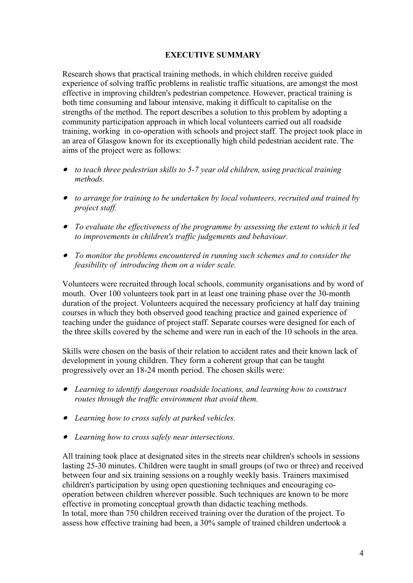## **EXECUTIVE SUMMARY**

Research shows that practical training methods, in which children receive guided experience of solving traffic problems in realistic traffic situations, are amongst the most effective in improving children's pedestrian competence. However, practical training is both time consuming and labour intensive, making it difficult to capitalise on the strengths of the method. The report describes a solution to this problem by adopting a community participation approach in which local volunteers carried out all roadside training, working in co-operation with schools and project staff. The project took place in an area of Glasgow known for its exceptionally high child pedestrian accident rate. The aims of the project were as follows:

- • *to teach three pedestrian skills to 5-7 year old children, using practical training methods.*
- • *to arrange for training to be undertaken by local volunteers, recruited and trained by project staff.*
- • *To evaluate the effectiveness of the programme by assessing the extent to which it led to improvements in children's traffic judgements and behaviour.*
- • *To monitor the problems encountered in running such schemes and to consider the feasibility of introducing them on a wider scale.*

Volunteers were recruited through local schools, community organisations and by word of mouth. Over 100 volunteers took part in at least one training phase over the 30-month duration of the project. Volunteers acquired the necessary proficiency at half day training courses in which they both observed good teaching practice and gained experience of teaching under the guidance of project staff. Separate courses were designed for each of the three skills covered by the scheme and were run in each of the 10 schools in the area.

Skills were chosen on the basis of their relation to accident rates and their known lack of development in young children. They form a coherent group that can be taught progressively over an 18-24 month period. The chosen skills were:

- • *Learning to identify dangerous roadside locations, and learning how to construct routes through the traffic environment that avoid them.*
- • *Learning how to cross safely at parked vehicles.*
- • *Learning how to cross safely near intersections.*

All training took place at designated sites in the streets near children's schools in sessions lasting 25-30 minutes. Children were taught in small groups (of two or three) and received between four and six training sessions on a roughly weekly basis. Trainers maximised children's participation by using open questioning techniques and encouraging cooperation between children wherever possible. Such techniques are known to be more effective in promoting conceptual growth than didactic teaching methods. In total, more than 750 children received training over the duration of the project. To assess how effective training had been, a 30% sample of trained children undertook a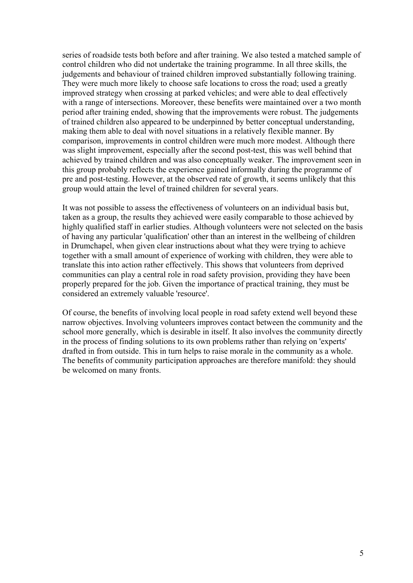series of roadside tests both before and after training. We also tested a matched sample of control children who did not undertake the training programme. In all three skills, the judgements and behaviour of trained children improved substantially following training. They were much more likely to choose safe locations to cross the road; used a greatly improved strategy when crossing at parked vehicles; and were able to deal effectively with a range of intersections. Moreover, these benefits were maintained over a two month period after training ended, showing that the improvements were robust. The judgements of trained children also appeared to be underpinned by better conceptual understanding, making them able to deal with novel situations in a relatively flexible manner. By comparison, improvements in control children were much more modest. Although there was slight improvement, especially after the second post-test, this was well behind that achieved by trained children and was also conceptually weaker. The improvement seen in this group probably reflects the experience gained informally during the programme of pre and post-testing. However, at the observed rate of growth, it seems unlikely that this group would attain the level of trained children for several years.

It was not possible to assess the effectiveness of volunteers on an individual basis but, taken as a group, the results they achieved were easily comparable to those achieved by highly qualified staff in earlier studies. Although volunteers were not selected on the basis of having any particular 'qualification' other than an interest in the wellbeing of children in Drumchapel, when given clear instructions about what they were trying to achieve together with a small amount of experience of working with children, they were able to translate this into action rather effectively. This shows that volunteers from deprived communities can play a central role in road safety provision, providing they have been properly prepared for the job. Given the importance of practical training, they must be considered an extremely valuable 'resource'.

Of course, the benefits of involving local people in road safety extend well beyond these narrow objectives. Involving volunteers improves contact between the community and the school more generally, which is desirable in itself. It also involves the community directly in the process of finding solutions to its own problems rather than relying on 'experts' drafted in from outside. This in turn helps to raise morale in the community as a whole. The benefits of community participation approaches are therefore manifold: they should be welcomed on many fronts.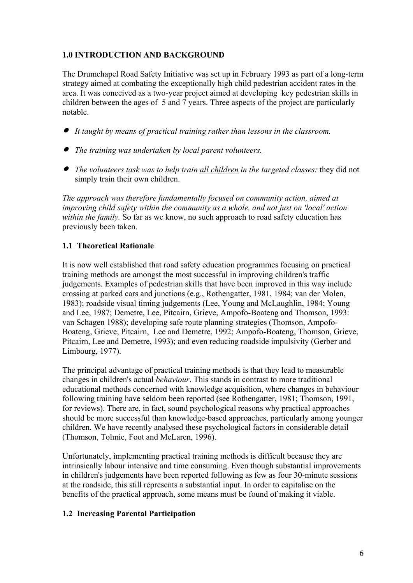# **1.0 INTRODUCTION AND BACKGROUND**

The Drumchapel Road Safety Initiative was set up in February 1993 as part of a long-term strategy aimed at combating the exceptionally high child pedestrian accident rates in the area. It was conceived as a two-year project aimed at developing key pedestrian skills in children between the ages of 5 and 7 years. Three aspects of the project are particularly notable.

- • *It taught by means of practical training rather than lessons in the classroom.*
- • *The training was undertaken by local parent volunteers.*
- • *The volunteers task was to help train all children in the targeted classes:* they did not simply train their own children.

*The approach was therefore fundamentally focused on community action, aimed at improving child safety within the community as a whole, and not just on 'local' action within the family.* So far as we know, no such approach to road safety education has previously been taken.

# **1.1 Theoretical Rationale**

It is now well established that road safety education programmes focusing on practical training methods are amongst the most successful in improving children's traffic judgements. Examples of pedestrian skills that have been improved in this way include crossing at parked cars and junctions (e.g., Rothengatter, 1981, 1984; van der Molen, 1983); roadside visual timing judgements (Lee, Young and McLaughlin, 1984; Young and Lee, 1987; Demetre, Lee, Pitcairn, Grieve, Ampofo-Boateng and Thomson, 1993: van Schagen 1988); developing safe route planning strategies (Thomson, Ampofo-Boateng, Grieve, Pitcairn, Lee and Demetre, 1992; Ampofo-Boateng, Thomson, Grieve, Pitcairn, Lee and Demetre, 1993); and even reducing roadside impulsivity (Gerber and Limbourg, 1977).

The principal advantage of practical training methods is that they lead to measurable changes in children's actual *behaviour*. This stands in contrast to more traditional educational methods concerned with knowledge acquisition, where changes in behaviour following training have seldom been reported (see Rothengatter, 1981; Thomson, 1991, for reviews). There are, in fact, sound psychological reasons why practical approaches should be more successful than knowledge-based approaches, particularly among younger children. We have recently analysed these psychological factors in considerable detail (Thomson, Tolmie, Foot and McLaren, 1996).

Unfortunately, implementing practical training methods is difficult because they are intrinsically labour intensive and time consuming. Even though substantial improvements in children's judgements have been reported following as few as four 30-minute sessions at the roadside, this still represents a substantial input. In order to capitalise on the benefits of the practical approach, some means must be found of making it viable.

# **1.2 Increasing Parental Participation**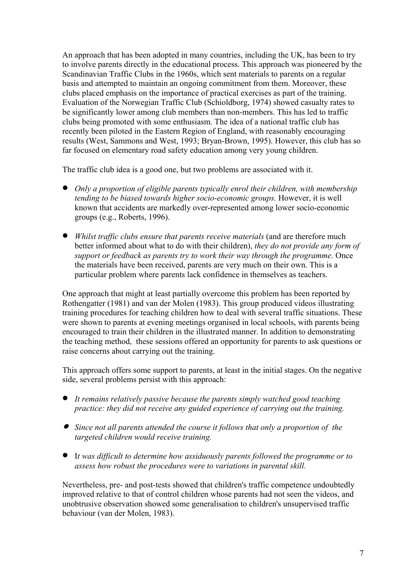An approach that has been adopted in many countries, including the UK, has been to try to involve parents directly in the educational process. This approach was pioneered by the Scandinavian Traffic Clubs in the 1960s, which sent materials to parents on a regular basis and attempted to maintain an ongoing commitment from them. Moreover, these clubs placed emphasis on the importance of practical exercises as part of the training. Evaluation of the Norwegian Traffic Club (Schioldborg, 1974) showed casualty rates to be significantly lower among club members than non-members. This has led to traffic clubs being promoted with some enthusiasm. The idea of a national traffic club has recently been piloted in the Eastern Region of England, with reasonably encouraging results (West, Sammons and West, 1993; Bryan-Brown, 1995). However, this club has so far focused on elementary road safety education among very young children.

The traffic club idea is a good one, but two problems are associated with it.

- *Only a proportion of eligible parents typically enrol their children, with membership tending to be biased towards higher socio-economic groups.* However, it is well known that accidents are markedly over-represented among lower socio-economic groups (e.g., Roberts, 1996).
- *Whilst traffic clubs ensure that parents receive materials* (and are therefore much better informed about what to do with their children), *they do not provide any form of support or feedback as parents try to work their way through the programme.* Once the materials have been received, parents are very much on their own. This is a particular problem where parents lack confidence in themselves as teachers.

One approach that might at least partially overcome this problem has been reported by Rothengatter (1981) and van der Molen (1983). This group produced videos illustrating training procedures for teaching children how to deal with several traffic situations. These were shown to parents at evening meetings organised in local schools, with parents being encouraged to train their children in the illustrated manner. In addition to demonstrating the teaching method, these sessions offered an opportunity for parents to ask questions or raise concerns about carrying out the training.

This approach offers some support to parents, at least in the initial stages. On the negative side, several problems persist with this approach:

- *It remains relatively passive because the parents simply watched good teaching practice: they did not receive any guided experience of carrying out the training.*
- • *Since not all parents attended the course it follows that only a proportion of the targeted children would receive training.*
- I*t was difficult to determine how assiduously parents followed the programme or to assess how robust the procedures were to variations in parental skill.*

Nevertheless, pre- and post-tests showed that children's traffic competence undoubtedly improved relative to that of control children whose parents had not seen the videos, and unobtrusive observation showed some generalisation to children's unsupervised traffic behaviour (van der Molen, 1983).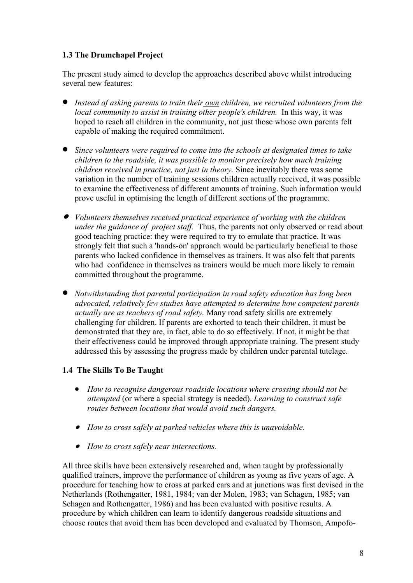# **1.3 The Drumchapel Project**

The present study aimed to develop the approaches described above whilst introducing several new features:

- *Instead of asking parents to train their own children, we recruited volunteers from the local community to assist in training other people's children.* In this way, it was hoped to reach all children in the community, not just those whose own parents felt capable of making the required commitment.
- *Since volunteers were required to come into the schools at designated times to take children to the roadside, it was possible to monitor precisely how much training children received in practice, not just in theory.* Since inevitably there was some variation in the number of training sessions children actually received, it was possible to examine the effectiveness of different amounts of training. Such information would prove useful in optimising the length of different sections of the programme.
- • *Volunteers themselves received practical experience of working with the children under the guidance of project staff.* Thus, the parents not only observed or read about good teaching practice: they were required to try to emulate that practice. It was strongly felt that such a 'hands-on' approach would be particularly beneficial to those parents who lacked confidence in themselves as trainers. It was also felt that parents who had confidence in themselves as trainers would be much more likely to remain committed throughout the programme.
- *Notwithstanding that parental participation in road safety education has long been advocated, relatively few studies have attempted to determine how competent parents actually are as teachers of road safety.* Many road safety skills are extremely challenging for children. If parents are exhorted to teach their children, it must be demonstrated that they are, in fact, able to do so effectively. If not, it might be that their effectiveness could be improved through appropriate training. The present study addressed this by assessing the progress made by children under parental tutelage.

# **1.4 The Skills To Be Taught**

- *How to recognise dangerous roadside locations where crossing should not be attempted* (or where a special strategy is needed). *Learning to construct safe routes between locations that would avoid such dangers.*
- • *How to cross safely at parked vehicles where this is unavoidable.*
- • *How to cross safely near intersections.*

<span id="page-7-0"></span>All three skills have been extensively researched and, when taught by professionally qualified trainers, improve the performance of children as young as five years of age. A procedure for teaching how to cross at parked cars and at junctions was first devised in the Netherlands (Rothengatter, 1981, 1984; van der Molen, 1983; van Schagen, 1985; van Schagen and Rothengatter, 1986) and has been evaluated with positive results. A procedure by which children can learn to identify dangerous roadside situations and choose routes that avoid them has been developed and evaluated by Thomson, Ampofo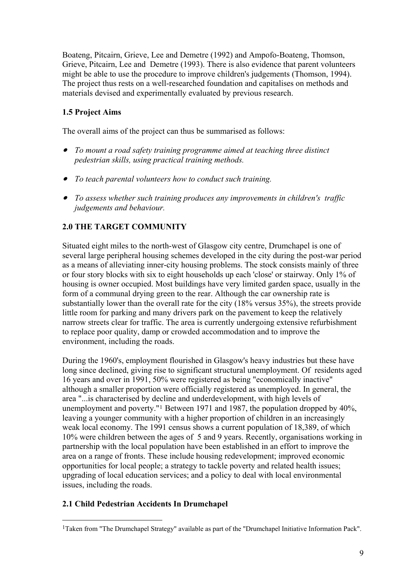Boateng, Pitcairn, Grieve, Lee and Demetre (1992) and Ampofo-Boateng, Thomson, Grieve, Pitcairn, Lee and Demetre (1993). There is also evidence that parent volunteers might be able to use the procedure to improve children's judgements (Thomson, 1994). The project thus rests on a well-researched foundation and capitalises on methods and materials devised and experimentally evaluated by previous research.

# **1.5 Project Aims**

The overall aims of the project can thus be summarised as follows:

- • *To mount a road safety training programme aimed at teaching three distinct pedestrian skills, using practical training methods.*
- • *To teach parental volunteers how to conduct such training.*
- • *To assess whether such training produces any improvements in children's traffic judgements and behaviour.*

# **2.0 THE TARGET COMMUNITY**

Situated eight miles to the north-west of Glasgow city centre, Drumchapel is one of several large peripheral housing schemes developed in the city during the post-war period as a means of alleviating inner-city housing problems. The stock consists mainly of three or four story blocks with six to eight households up each 'close' or stairway. Only 1% of housing is owner occupied. Most buildings have very limited garden space, usually in the form of a communal drying green to the rear. Although the car ownership rate is substantially lower than the overall rate for the city (18% versus 35%), the streets provide little room for parking and many drivers park on the pavement to keep the relatively narrow streets clear for traffic. The area is currently undergoing extensive refurbishment to replace poor quality, damp or crowded accommodation and to improve the environment, including the roads.

During the 1960's, employment flourished in Glasgow's heavy industries but these have long since declined, giving rise to significant structural unemployment. Of residents aged 16 years and over in 1991, 50% were registered as being "economically inactive" although a smaller proportion were officially registered as unemployed. In general, the area "...is characterised by decline and underdevelopment, with high levels of unemployment and poverty."[1](#page-7-0) Between 1971 and 1987, the population dropped by 40%, leaving a younger community with a higher proportion of children in an increasingly weak local economy. The 1991 census shows a current population of 18,389, of which 10% were children between the ages of 5 and 9 years. Recently, organisations working in partnership with the local population have been established in an effort to improve the area on a range of fronts. These include housing redevelopment; improved economic opportunities for local people; a strategy to tackle poverty and related health issues; upgrading of local education services; and a policy to deal with local environmental issues, including the roads.

## **2.1 Child Pedestrian Accidents In Drumchapel**

 $\overline{a}$ <sup>1</sup>Taken from "The Drumchapel Strategy" available as part of the "Drumchapel Initiative Information Pack".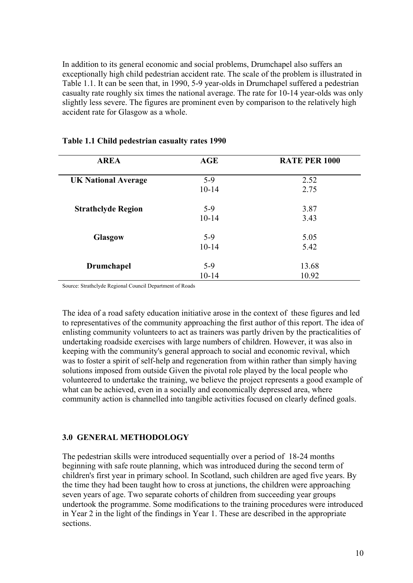In addition to its general economic and social problems, Drumchapel also suffers an exceptionally high child pedestrian accident rate. The scale of the problem is illustrated in Table 1.1. It can be seen that, in 1990, 5-9 year-olds in Drumchapel suffered a pedestrian casualty rate roughly six times the national average. The rate for 10-14 year-olds was only slightly less severe. The figures are prominent even by comparison to the relatively high accident rate for Glasgow as a whole.

| <b>AREA</b>                | AGE       | <b>RATE PER 1000</b> |
|----------------------------|-----------|----------------------|
| <b>UK National Average</b> | $5-9$     | 2.52                 |
|                            | $10 - 14$ | 2.75                 |
| <b>Strathclyde Region</b>  | $5-9$     | 3.87                 |
|                            | $10 - 14$ | 3.43                 |
| <b>Glasgow</b>             | $5-9$     | 5.05                 |
|                            | $10 - 14$ | 5.42                 |
| <b>Drumchapel</b>          | $5-9$     | 13.68                |
|                            | $10 - 14$ | 10.92                |

#### **Table 1.1 Child pedestrian casualty rates 1990**

Source: Strathclyde Regional Council Department of Roads

The idea of a road safety education initiative arose in the context of these figures and led to representatives of the community approaching the first author of this report. The idea of enlisting community volunteers to act as trainers was partly driven by the practicalities of undertaking roadside exercises with large numbers of children. However, it was also in keeping with the community's general approach to social and economic revival, which was to foster a spirit of self-help and regeneration from within rather than simply having solutions imposed from outside Given the pivotal role played by the local people who volunteered to undertake the training, we believe the project represents a good example of what can be achieved, even in a socially and economically depressed area, where community action is channelled into tangible activities focused on clearly defined goals.

## **3.0 GENERAL METHODOLOGY**

The pedestrian skills were introduced sequentially over a period of 18-24 months beginning with safe route planning, which was introduced during the second term of children's first year in primary school. In Scotland, such children are aged five years. By the time they had been taught how to cross at junctions, the children were approaching seven years of age. Two separate cohorts of children from succeeding year groups undertook the programme. Some modifications to the training procedures were introduced in Year 2 in the light of the findings in Year 1. These are described in the appropriate sections.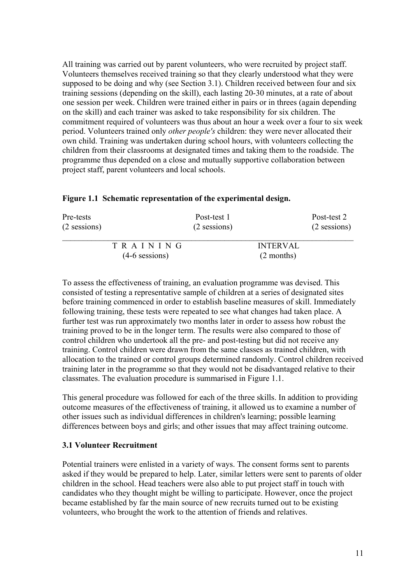All training was carried out by parent volunteers, who were recruited by project staff. Volunteers themselves received training so that they clearly understood what they were supposed to be doing and why (see Section 3.1). Children received between four and six training sessions (depending on the skill), each lasting 20-30 minutes, at a rate of about one session per week. Children were trained either in pairs or in threes (again depending on the skill) and each trainer was asked to take responsibility for six children. The commitment required of volunteers was thus about an hour a week over a four to six week period. Volunteers trained only *other people's* children: they were never allocated their own child. Training was undertaken during school hours, with volunteers collecting the children from their classrooms at designated times and taking them to the roadside. The programme thus depended on a close and mutually supportive collaboration between project staff, parent volunteers and local schools.

| Pre-tests<br>$(2$ sessions) |                              | Post-test 1<br>$(2$ sessions) |                                 | Post-test 2<br>(2 sessions) |
|-----------------------------|------------------------------|-------------------------------|---------------------------------|-----------------------------|
|                             | TRAINING<br>$(4-6$ sessions) |                               | <b>INTERVAL</b><br>$(2$ months) |                             |

#### **Figure 1.1 Schematic representation of the experimental design.**

To assess the effectiveness of training, an evaluation programme was devised. This consisted of testing a representative sample of children at a series of designated sites before training commenced in order to establish baseline measures of skill. Immediately following training, these tests were repeated to see what changes had taken place. A further test was run approximately two months later in order to assess how robust the training proved to be in the longer term. The results were also compared to those of control children who undertook all the pre- and post-testing but did not receive any training. Control children were drawn from the same classes as trained children, with allocation to the trained or control groups determined randomly. Control children received training later in the programme so that they would not be disadvantaged relative to their classmates. The evaluation procedure is summarised in Figure 1.1.

This general procedure was followed for each of the three skills. In addition to providing outcome measures of the effectiveness of training, it allowed us to examine a number of other issues such as individual differences in children's learning; possible learning differences between boys and girls; and other issues that may affect training outcome.

#### **3.1 Volunteer Recruitment**

Potential trainers were enlisted in a variety of ways. The consent forms sent to parents asked if they would be prepared to help. Later, similar letters were sent to parents of older children in the school. Head teachers were also able to put project staff in touch with candidates who they thought might be willing to participate. However, once the project became established by far the main source of new recruits turned out to be existing volunteers, who brought the work to the attention of friends and relatives.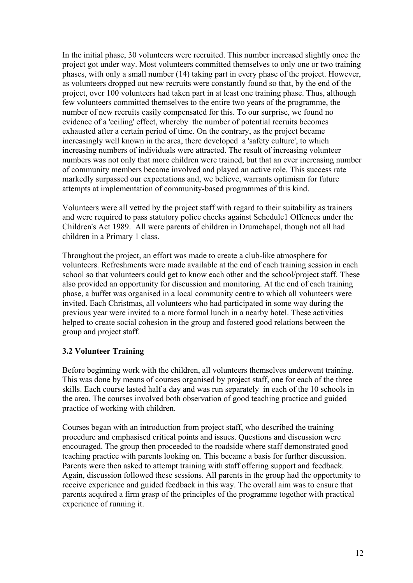In the initial phase, 30 volunteers were recruited. This number increased slightly once the project got under way. Most volunteers committed themselves to only one or two training phases, with only a small number (14) taking part in every phase of the project. However, as volunteers dropped out new recruits were constantly found so that, by the end of the project, over 100 volunteers had taken part in at least one training phase. Thus, although few volunteers committed themselves to the entire two years of the programme, the number of new recruits easily compensated for this. To our surprise, we found no evidence of a 'ceiling' effect, whereby the number of potential recruits becomes exhausted after a certain period of time. On the contrary, as the project became increasingly well known in the area, there developed a 'safety culture', to which increasing numbers of individuals were attracted. The result of increasing volunteer numbers was not only that more children were trained, but that an ever increasing number of community members became involved and played an active role. This success rate markedly surpassed our expectations and, we believe, warrants optimism for future attempts at implementation of community-based programmes of this kind.

Volunteers were all vetted by the project staff with regard to their suitability as trainers and were required to pass statutory police checks against Schedule1 Offences under the Children's Act 1989. All were parents of children in Drumchapel, though not all had children in a Primary 1 class.

Throughout the project, an effort was made to create a club-like atmosphere for volunteers. Refreshments were made available at the end of each training session in each school so that volunteers could get to know each other and the school/project staff. These also provided an opportunity for discussion and monitoring. At the end of each training phase, a buffet was organised in a local community centre to which all volunteers were invited. Each Christmas, all volunteers who had participated in some way during the previous year were invited to a more formal lunch in a nearby hotel. These activities helped to create social cohesion in the group and fostered good relations between the group and project staff.

## **3.2 Volunteer Training**

Before beginning work with the children, all volunteers themselves underwent training. This was done by means of courses organised by project staff, one for each of the three skills. Each course lasted half a day and was run separately in each of the 10 schools in the area. The courses involved both observation of good teaching practice and guided practice of working with children.

Courses began with an introduction from project staff, who described the training procedure and emphasised critical points and issues. Questions and discussion were encouraged. The group then proceeded to the roadside where staff demonstrated good teaching practice with parents looking on. This became a basis for further discussion. Parents were then asked to attempt training with staff offering support and feedback. Again, discussion followed these sessions. All parents in the group had the opportunity to receive experience and guided feedback in this way. The overall aim was to ensure that parents acquired a firm grasp of the principles of the programme together with practical experience of running it.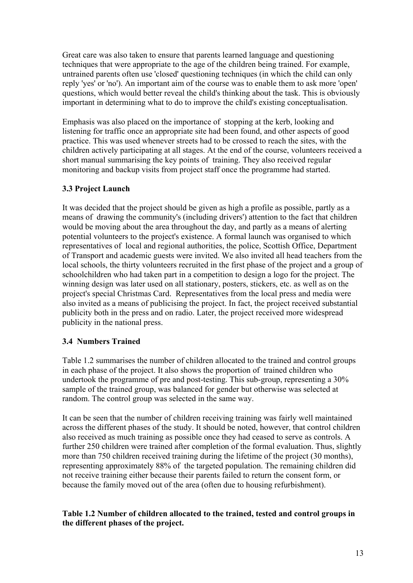Great care was also taken to ensure that parents learned language and questioning techniques that were appropriate to the age of the children being trained. For example, untrained parents often use 'closed' questioning techniques (in which the child can only reply 'yes' or 'no'). An important aim of the course was to enable them to ask more 'open' questions, which would better reveal the child's thinking about the task. This is obviously important in determining what to do to improve the child's existing conceptualisation.

Emphasis was also placed on the importance of stopping at the kerb, looking and listening for traffic once an appropriate site had been found, and other aspects of good practice. This was used whenever streets had to be crossed to reach the sites, with the children actively participating at all stages. At the end of the course, volunteers received a short manual summarising the key points of training. They also received regular monitoring and backup visits from project staff once the programme had started.

## **3.3 Project Launch**

It was decided that the project should be given as high a profile as possible, partly as a means of drawing the community's (including drivers') attention to the fact that children would be moving about the area throughout the day, and partly as a means of alerting potential volunteers to the project's existence. A formal launch was organised to which representatives of local and regional authorities, the police, Scottish Office, Department of Transport and academic guests were invited. We also invited all head teachers from the local schools, the thirty volunteers recruited in the first phase of the project and a group of schoolchildren who had taken part in a competition to design a logo for the project. The winning design was later used on all stationary, posters, stickers, etc. as well as on the project's special Christmas Card. Representatives from the local press and media were also invited as a means of publicising the project. In fact, the project received substantial publicity both in the press and on radio. Later, the project received more widespread publicity in the national press.

## **3.4 Numbers Trained**

Table 1.2 summarises the number of children allocated to the trained and control groups in each phase of the project. It also shows the proportion of trained children who undertook the programme of pre and post-testing. This sub-group, representing a 30% sample of the trained group, was balanced for gender but otherwise was selected at random. The control group was selected in the same way.

It can be seen that the number of children receiving training was fairly well maintained across the different phases of the study. It should be noted, however, that control children also received as much training as possible once they had ceased to serve as controls. A further 250 children were trained after completion of the formal evaluation. Thus, slightly more than 750 children received training during the lifetime of the project (30 months), representing approximately 88% of the targeted population. The remaining children did not receive training either because their parents failed to return the consent form, or because the family moved out of the area (often due to housing refurbishment).

## **Table 1.2 Number of children allocated to the trained, tested and control groups in the different phases of the project.**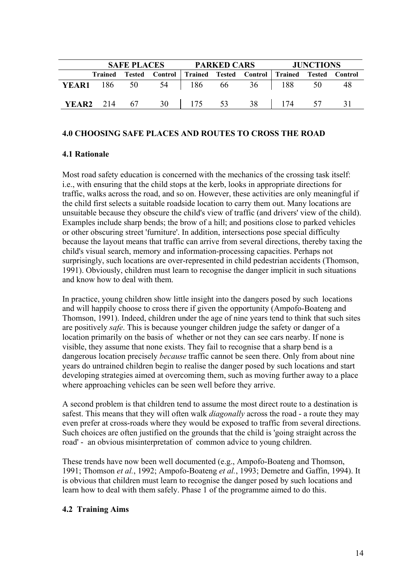| <b>SAFE PLACES</b> |  |                               | PARKED CARS |  |  | <b>JUNCTIONS</b>                                                         |  |      |
|--------------------|--|-------------------------------|-------------|--|--|--------------------------------------------------------------------------|--|------|
|                    |  |                               |             |  |  | Trained Tested Control   Trained Tested Control   Trained Tested Control |  |      |
|                    |  |                               |             |  |  | <b>YEAR1</b> 186 50 54 186 66 36 188 50                                  |  | - 48 |
|                    |  | <b>YEAR2</b> 214 67 30 175 53 |             |  |  | 38   174 57                                                              |  | -31  |

#### **4.0 CHOOSING SAFE PLACES AND ROUTES TO CROSS THE ROAD**

#### **4.1 Rationale**

Most road safety education is concerned with the mechanics of the crossing task itself: i.e., with ensuring that the child stops at the kerb, looks in appropriate directions for traffic, walks across the road, and so on. However, these activities are only meaningful if the child first selects a suitable roadside location to carry them out. Many locations are unsuitable because they obscure the child's view of traffic (and drivers' view of the child). Examples include sharp bends; the brow of a hill; and positions close to parked vehicles or other obscuring street 'furniture'. In addition, intersections pose special difficulty because the layout means that traffic can arrive from several directions, thereby taxing the child's visual search, memory and information-processing capacities. Perhaps not surprisingly, such locations are over-represented in child pedestrian accidents (Thomson, 1991). Obviously, children must learn to recognise the danger implicit in such situations and know how to deal with them.

In practice, young children show little insight into the dangers posed by such locations and will happily choose to cross there if given the opportunity (Ampofo-Boateng and Thomson, 1991). Indeed, children under the age of nine years tend to think that such sites are positively *safe*. This is because younger children judge the safety or danger of a location primarily on the basis of whether or not they can see cars nearby. If none is visible, they assume that none exists. They fail to recognise that a sharp bend is a dangerous location precisely *because* traffic cannot be seen there. Only from about nine years do untrained children begin to realise the danger posed by such locations and start developing strategies aimed at overcoming them, such as moving further away to a place where approaching vehicles can be seen well before they arrive.

A second problem is that children tend to assume the most direct route to a destination is safest. This means that they will often walk *diagonally* across the road - a route they may even prefer at cross-roads where they would be exposed to traffic from several directions. Such choices are often justified on the grounds that the child is 'going straight across the road' - an obvious misinterpretation of common advice to young children.

These trends have now been well documented (e.g., Ampofo-Boateng and Thomson, 1991; Thomson *et al.*, 1992; Ampofo-Boateng *et al.*, 1993; Demetre and Gaffin, 1994). It is obvious that children must learn to recognise the danger posed by such locations and learn how to deal with them safely. Phase 1 of the programme aimed to do this.

#### **4.2 Training Aims**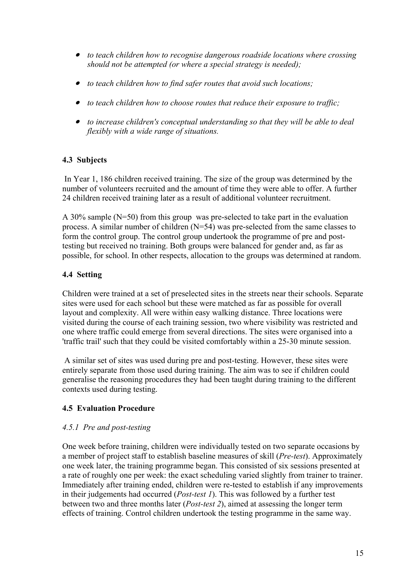- • *to teach children how to recognise dangerous roadside locations where crossing should not be attempted (or where a special strategy is needed);*
- • *to teach children how to find safer routes that avoid such locations;*
- • *to teach children how to choose routes that reduce their exposure to traffic;*
- • *to increase children's conceptual understanding so that they will be able to deal flexibly with a wide range of situations.*

# **4.3 Subjects**

 In Year 1, 186 children received training. The size of the group was determined by the number of volunteers recruited and the amount of time they were able to offer. A further 24 children received training later as a result of additional volunteer recruitment.

A 30% sample (N=50) from this group was pre-selected to take part in the evaluation process. A similar number of children (N=54) was pre-selected from the same classes to form the control group. The control group undertook the programme of pre and posttesting but received no training. Both groups were balanced for gender and, as far as possible, for school. In other respects, allocation to the groups was determined at random.

## **4.4 Setting**

Children were trained at a set of preselected sites in the streets near their schools. Separate sites were used for each school but these were matched as far as possible for overall layout and complexity. All were within easy walking distance. Three locations were visited during the course of each training session, two where visibility was restricted and one where traffic could emerge from several directions. The sites were organised into a 'traffic trail' such that they could be visited comfortably within a 25-30 minute session.

 A similar set of sites was used during pre and post-testing. However, these sites were entirely separate from those used during training. The aim was to see if children could generalise the reasoning procedures they had been taught during training to the different contexts used during testing.

# **4.5 Evaluation Procedure**

## *4.5.1 Pre and post-testing*

One week before training, children were individually tested on two separate occasions by a member of project staff to establish baseline measures of skill (*Pre-test*). Approximately one week later, the training programme began. This consisted of six sessions presented at a rate of roughly one per week: the exact scheduling varied slightly from trainer to trainer. Immediately after training ended, children were re-tested to establish if any improvements in their judgements had occurred (*Post-test 1*). This was followed by a further test between two and three months later (*Post-test 2*), aimed at assessing the longer term effects of training. Control children undertook the testing programme in the same way.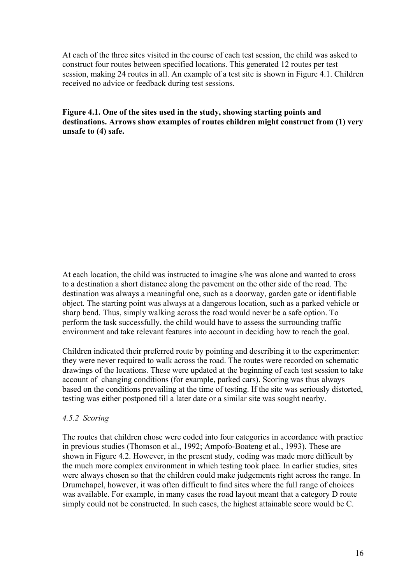At each of the three sites visited in the course of each test session, the child was asked to construct four routes between specified locations. This generated 12 routes per test session, making 24 routes in all. An example of a test site is shown in Figure 4.1. Children received no advice or feedback during test sessions.

**Figure 4.1. One of the sites used in the study, showing starting points and destinations. Arrows show examples of routes children might construct from (1) very unsafe to (4) safe.** 

At each location, the child was instructed to imagine s/he was alone and wanted to cross to a destination a short distance along the pavement on the other side of the road. The destination was always a meaningful one, such as a doorway, garden gate or identifiable object. The starting point was always at a dangerous location, such as a parked vehicle or sharp bend. Thus, simply walking across the road would never be a safe option. To perform the task successfully, the child would have to assess the surrounding traffic environment and take relevant features into account in deciding how to reach the goal.

Children indicated their preferred route by pointing and describing it to the experimenter: they were never required to walk across the road. The routes were recorded on schematic drawings of the locations. These were updated at the beginning of each test session to take account of changing conditions (for example, parked cars). Scoring was thus always based on the conditions prevailing at the time of testing. If the site was seriously distorted, testing was either postponed till a later date or a similar site was sought nearby.

## *4.5.2 Scoring*

The routes that children chose were coded into four categories in accordance with practice in previous studies (Thomson et al., 1992; Ampofo-Boateng et al., 1993). These are shown in Figure 4.2. However, in the present study, coding was made more difficult by the much more complex environment in which testing took place. In earlier studies, sites were always chosen so that the children could make judgements right across the range. In Drumchapel, however, it was often difficult to find sites where the full range of choices was available. For example, in many cases the road layout meant that a category D route simply could not be constructed. In such cases, the highest attainable score would be C.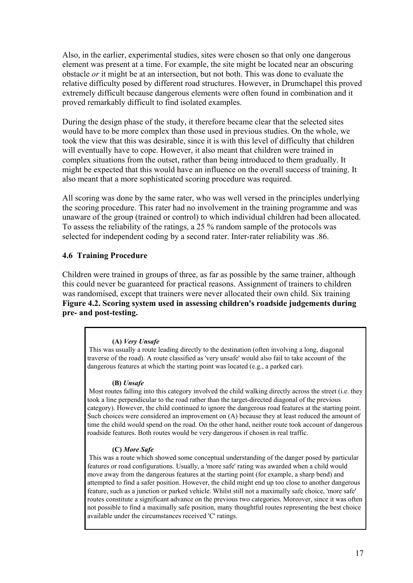Also, in the earlier, experimental studies, sites were chosen so that only one dangerous element was present at a time. For example, the site might be located near an obscuring obstacle *or* it might be at an intersection, but not both. This was done to evaluate the relative difficulty posed by different road structures. However, in Drumchapel this proved extremely difficult because dangerous elements were often found in combination and it proved remarkably difficult to find isolated examples.

During the design phase of the study, it therefore became clear that the selected sites would have to be more complex than those used in previous studies. On the whole, we took the view that this was desirable, since it is with this level of difficulty that children will eventually have to cope. However, it also meant that children were trained in complex situations from the outset, rather than being introduced to them gradually. It might be expected that this would have an influence on the overall success of training. It also meant that a more sophisticated scoring procedure was required.

All scoring was done by the same rater, who was well versed in the principles underlying the scoring procedure. This rater had no involvement in the training programme and was unaware of the group (trained or control) to which individual children had been allocated. To assess the reliability of the ratings, a 25 % random sample of the protocols was selected for independent coding by a second rater. Inter-rater reliability was .86.

## **4.6 Training Procedure**

Children were trained in groups of three, as far as possible by the same trainer, although this could never be guaranteed for practical reasons. Assignment of trainers to children was randomised, except that trainers were never allocated their own child. Six training **Figure 4.2. Scoring system used in assessing children's roadside judgements during pre- and post-testing.** 

#### **(A)** *Very Unsafe*

 This was usually a route leading directly to the destination (often involving a long, diagonal traverse of the road). A route classified as 'very unsafe' would also fail to take account of the dangerous features at which the starting point was located (e.g., a parked car).

#### **(B)** *Unsafe*

 Most routes falling into this category involved the child walking directly across the street (i.e. they took a line perpendicular to the road rather than the target-directed diagonal of the previous category). However, the child continued to ignore the dangerous road features at the starting point. Such choices were considered an improvement on (A) because they at least reduced the amount of time the child would spend on the road. On the other hand, neither route took account of dangerous roadside features. Both routes would be very dangerous if chosen in real traffic.

#### **(C)** *More Safe*

 This was a route which showed some conceptual understanding of the danger posed by particular features or road configurations. Usually, a 'more safe' rating was awarded when a child would move away from the dangerous features at the starting point (for example, a sharp bend) and attempted to find a safer position. However, the child might end up too close to another dangerous feature, such as a junction or parked vehicle. Whilst still not a maximally safe choice, 'more safe' routes constitute a significant advance on the previous two categories. Moreover, since it was often not possible to find a maximally safe position, many thoughtful routes representing the best choice available under the circumstances received 'C' ratings.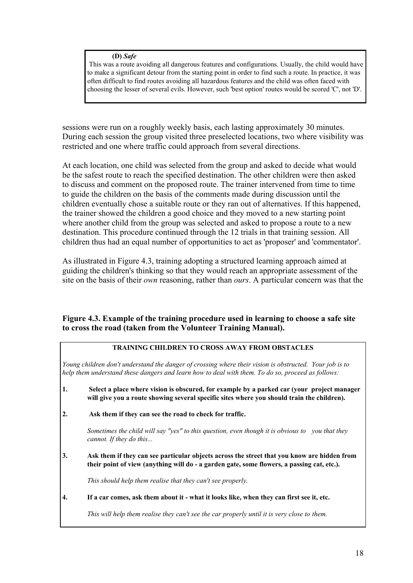#### **(D)** *Safe*

 This was a route avoiding all dangerous features and configurations. Usually, the child would have to make a significant detour from the starting point in order to find such a route. In practice, it was often difficult to find routes avoiding all hazardous features and the child was often faced with choosing the lesser of several evils. However, such 'best option' routes would be scored 'C', not 'D'.

sessions were run on a roughly weekly basis, each lasting approximately 30 minutes. During each session the group visited three preselected locations, two where visibility was restricted and one where traffic could approach from several directions.

At each location, one child was selected from the group and asked to decide what would be the safest route to reach the specified destination. The other children were then asked to discuss and comment on the proposed route. The trainer intervened from time to time to guide the children on the basis of the comments made during discussion until the children eventually chose a suitable route or they ran out of alternatives. If this happened, the trainer showed the children a good choice and they moved to a new starting point where another child from the group was selected and asked to propose a route to a new destination. This procedure continued through the 12 trials in that training session. All children thus had an equal number of opportunities to act as 'proposer' and 'commentator'.

As illustrated in Figure 4.3, training adopting a structured learning approach aimed at guiding the children's thinking so that they would reach an appropriate assessment of the site on the basis of their *own* reasoning, rather than *ours*. A particular concern was that the

## **Figure 4.3. Example of the training procedure used in learning to choose a safe site to cross the road (taken from the Volunteer Training Manual).**

#### **TRAINING CHILDREN TO CROSS AWAY FROM OBSTACLES**

*Young children don't understand the danger of crossing where their vision is obstructed. Your job is to help them understand these dangers and learn how to deal with them. To do so, proceed as follows:* 

- **1. Select a place where vision is obscured, for example by a parked car (your project manager**  will give you a route showing several specific sites where you should train the children).
- **2. Ask them if they can see the road to check for traffic.**

 *Sometimes the child will say "yes" to this question, even though it is obvious to you that they cannot. If they do this...* 

**3. Ask them if they can see particular objects across the street that you know are hidden from their point of view (anything will do - a garden gate, some flowers, a passing cat, etc.).** 

 *This should help them realise that they can't see properly.* 

**4. If a car comes, ask them about it - what it looks like, when they can first see it, etc.** 

 *This will help them realise they can't see the car properly until it is very close to them.*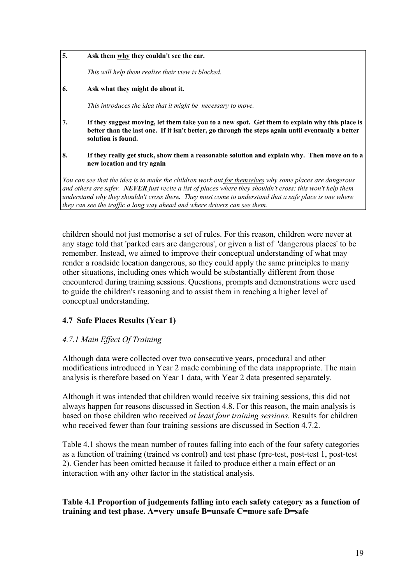**5. Ask them why they couldn't see the car.** 

 *This will help them realise their view is blocked.* 

**6. Ask what they might do about it.** 

 *This introduces the idea that it might be necessary to move.* 

- **7. If they suggest moving, let them take you to a new spot. Get them to explain why this place is better than the last one. If it isn't better, go through the steps again until eventually a better solution is found.**
- **8. If they really get stuck, show them a reasonable solution and explain why. Then move on to a new location and try again**

*You can see that the idea is to make the children work out for themselves why some places are dangerous and others are safer. NEVER just recite a list of places where they shouldn't cross: this won't help them understand why they shouldn't cross there. They must come to understand that a safe place is one where they can see the traffic a long way ahead and where drivers can see them.* 

children should not just memorise a set of rules. For this reason, children were never at any stage told that 'parked cars are dangerous', or given a list of 'dangerous places' to be remember. Instead, we aimed to improve their conceptual understanding of what may render a roadside location dangerous, so they could apply the same principles to many other situations, including ones which would be substantially different from those encountered during training sessions. Questions, prompts and demonstrations were used to guide the children's reasoning and to assist them in reaching a higher level of conceptual understanding.

## **4.7 Safe Places Results (Year 1)**

## *4.7.1 Main Effect Of Training*

Although data were collected over two consecutive years, procedural and other modifications introduced in Year 2 made combining of the data inappropriate. The main analysis is therefore based on Year 1 data, with Year 2 data presented separately.

Although it was intended that children would receive six training sessions, this did not always happen for reasons discussed in Section 4.8. For this reason, the main analysis is based on those children who received *at least four training sessions.* Results for children who received fewer than four training sessions are discussed in Section 4.7.2.

Table 4.1 shows the mean number of routes falling into each of the four safety categories as a function of training (trained vs control) and test phase (pre-test, post-test 1, post-test 2). Gender has been omitted because it failed to produce either a main effect or an interaction with any other factor in the statistical analysis.

## **Table 4.1 Proportion of judgements falling into each safety category as a function of training and test phase. A=very unsafe B=unsafe C=more safe D=safe**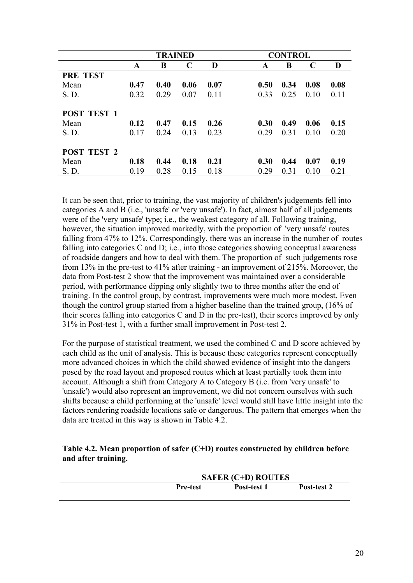|                    |      | <b>TRAINED</b> |             |      |      | <b>CONTROL</b> |      |      |  |
|--------------------|------|----------------|-------------|------|------|----------------|------|------|--|
|                    | A    | B              | $\mathbf C$ | D    | A    | B              | C    | D    |  |
| <b>PRE TEST</b>    |      |                |             |      |      |                |      |      |  |
| Mean               | 0.47 | 0.40           | 0.06        | 0.07 | 0.50 | 0.34           | 0.08 | 0.08 |  |
| S. D.              | 0.32 | 0.29           | 0.07        | 0.11 | 0.33 | 0.25           | 0.10 | 0.11 |  |
| <b>POST TEST 1</b> |      |                |             |      |      |                |      |      |  |
| Mean               | 0.12 | 0.47           | 0.15        | 0.26 | 0.30 | 0.49           | 0.06 | 0.15 |  |
| S. D.              | 0.17 | 0.24           | 0.13        | 0.23 | 0.29 | 0.31           | 0.10 | 0.20 |  |
| <b>POST TEST 2</b> |      |                |             |      |      |                |      |      |  |
| Mean               | 0.18 | 0.44           | 0.18        | 0.21 | 0.30 | 0.44           | 0.07 | 0.19 |  |
| S.D.               | 0.19 | 0.28           | 0.15        | 0.18 | 0.29 | 0.31           | 0.10 | 0.21 |  |

It can be seen that, prior to training, the vast majority of children's judgements fell into categories A and B (i.e., 'unsafe' or 'very unsafe'). In fact, almost half of all judgements were of the 'very unsafe' type; i.e., the weakest category of all. Following training, however, the situation improved markedly, with the proportion of 'very unsafe' routes falling from 47% to 12%. Correspondingly, there was an increase in the number of routes falling into categories C and D; i.e., into those categories showing conceptual awareness of roadside dangers and how to deal with them. The proportion of such judgements rose from 13% in the pre-test to 41% after training - an improvement of 215%. Moreover, the data from Post-test 2 show that the improvement was maintained over a considerable period, with performance dipping only slightly two to three months after the end of training. In the control group, by contrast, improvements were much more modest. Even though the control group started from a higher baseline than the trained group, (16% of their scores falling into categories C and D in the pre-test), their scores improved by only 31% in Post-test 1, with a further small improvement in Post-test 2.

For the purpose of statistical treatment, we used the combined C and D score achieved by each child as the unit of analysis. This is because these categories represent conceptually more advanced choices in which the child showed evidence of insight into the dangers posed by the road layout and proposed routes which at least partially took them into account. Although a shift from Category A to Category B (i.e. from 'very unsafe' to 'unsafe') would also represent an improvement, we did not concern ourselves with such shifts because a child performing at the 'unsafe' level would still have little insight into the factors rendering roadside locations safe or dangerous. The pattern that emerges when the data are treated in this way is shown in Table 4.2.

#### **Table 4.2. Mean proportion of safer (C+D) routes constructed by children before and after training.**

|                 | <b>SAFER (C+D) ROUTES</b> |             |
|-----------------|---------------------------|-------------|
| <b>Pre-test</b> | Post-test 1               | Post-test 2 |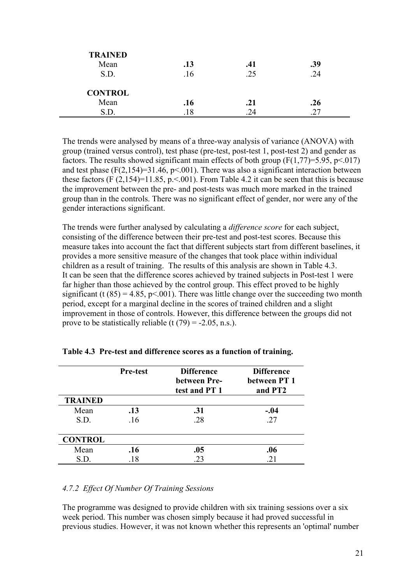| <b>TRAINED</b> |     |     |     |
|----------------|-----|-----|-----|
| Mean           | .13 | .41 | .39 |
| S.D.           | .16 | .25 | .24 |
| <b>CONTROL</b> |     |     |     |
| Mean           | .16 | .21 | .26 |
| S.D.           | .18 | .24 |     |

The trends were analysed by means of a three-way analysis of variance (ANOVA) with group (trained versus control), test phase (pre-test, post-test 1, post-test 2) and gender as factors. The results showed significant main effects of both group  $(F(1,77)=5.95, p<0.017)$ and test phase  $(F(2,154)=31.46, p<0.01)$ . There was also a significant interaction between these factors (F  $(2,154)=11.85$ , p. < 001). From Table 4.2 it can be seen that this is because the improvement between the pre- and post-tests was much more marked in the trained group than in the controls. There was no significant effect of gender, nor were any of the gender interactions significant.

The trends were further analysed by calculating a *difference score* for each subject, consisting of the difference between their pre-test and post-test scores. Because this measure takes into account the fact that different subjects start from different baselines, it provides a more sensitive measure of the changes that took place within individual children as a result of training. The results of this analysis are shown in Table 4.3. It can be seen that the difference scores achieved by trained subjects in Post-test 1 were far higher than those achieved by the control group. This effect proved to be highly significant (t  $(85) = 4.85$ , p<.001). There was little change over the succeeding two month period, except for a marginal decline in the scores of trained children and a slight improvement in those of controls. However, this difference between the groups did not prove to be statistically reliable (t  $(79) = -2.05$ , n.s.).

|                | <b>Pre-test</b> | <b>Difference</b><br>between Pre- | <b>Difference</b><br>between PT 1 |
|----------------|-----------------|-----------------------------------|-----------------------------------|
|                |                 | test and PT 1                     | and PT2                           |
| <b>TRAINED</b> |                 |                                   |                                   |
| Mean           | .13             | .31                               | $-.04$                            |
| S.D.           | .16             | .28                               | .27                               |
|                |                 |                                   |                                   |
| <b>CONTROL</b> |                 |                                   |                                   |
| Mean           | .16             | .05                               | .06                               |
| S.D.           | .18             | .23                               | .21                               |

**Table 4.3 Pre-test and difference scores as a function of training.** 

#### *4.7.2 Effect Of Number Of Training Sessions*

The programme was designed to provide children with six training sessions over a six week period. This number was chosen simply because it had proved successful in previous studies. However, it was not known whether this represents an 'optimal' number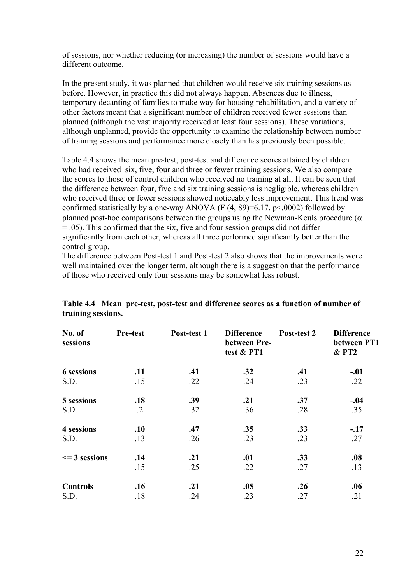of sessions, nor whether reducing (or increasing) the number of sessions would have a different outcome.

In the present study, it was planned that children would receive six training sessions as before. However, in practice this did not always happen. Absences due to illness, temporary decanting of families to make way for housing rehabilitation, and a variety of other factors meant that a significant number of children received fewer sessions than planned (although the vast majority received at least four sessions). These variations, although unplanned, provide the opportunity to examine the relationship between number of training sessions and performance more closely than has previously been possible.

Table 4.4 shows the mean pre-test, post-test and difference scores attained by children who had received six, five, four and three or fewer training sessions. We also compare the scores to those of control children who received no training at all. It can be seen that the difference between four, five and six training sessions is negligible, whereas children who received three or fewer sessions showed noticeably less improvement. This trend was confirmed statistically by a one-way ANOVA (F  $(4, 89) = 6.17$ , p<.0002) followed by planned post-hoc comparisons between the groups using the Newman-Keuls procedure ( $\alpha$ ) = .05). This confirmed that the six, five and four session groups did not differ significantly from each other, whereas all three performed significantly better than the control group.

The difference between Post-test 1 and Post-test 2 also shows that the improvements were well maintained over the longer term, although there is a suggestion that the performance of those who received only four sessions may be somewhat less robust.

| No. of<br>sessions | Pre-test   | Post-test 1 | <b>Difference</b><br>between Pre-<br>test & PT1 | Post-test 2 | <b>Difference</b><br>between PT1<br>$&P$ T <sub>2</sub> |
|--------------------|------------|-------------|-------------------------------------------------|-------------|---------------------------------------------------------|
| <b>6</b> sessions  | .11        | .41         | .32                                             | .41         | $-.01$                                                  |
| S.D.               | .15        | .22         | .24                                             | .23         | .22                                                     |
| 5 sessions         | .18        | .39         | .21                                             | .37         | $-.04$                                                  |
| S.D.               | $\cdot$ .2 | .32         | .36                                             | .28         | .35                                                     |
| 4 sessions         | .10        | .47         | .35                                             | .33         | $-.17$                                                  |
| S.D.               | .13        | .26         | .23                                             | .23         | .27                                                     |
| $\leq$ 3 sessions  | .14        | .21         | .01                                             | .33         | .08                                                     |
|                    | .15        | .25         | .22                                             | .27         | .13                                                     |
| <b>Controls</b>    | .16        | .21         | .05                                             | .26         | .06                                                     |
| S.D.               | .18        | .24         | .23                                             | .27         | .21                                                     |

**Table 4.4 Mean pre-test, post-test and difference scores as a function of number of training sessions.**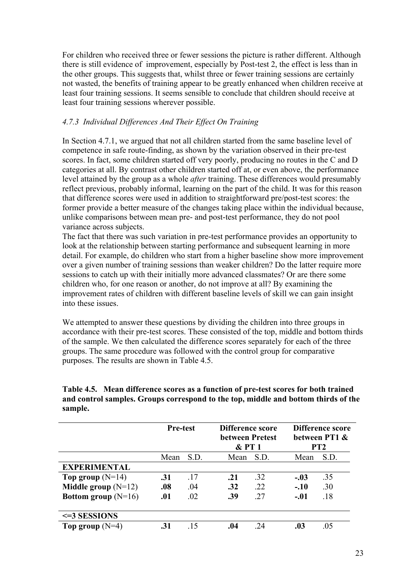For children who received three or fewer sessions the picture is rather different. Although there is still evidence of improvement, especially by Post-test 2, the effect is less than in the other groups. This suggests that, whilst three or fewer training sessions are certainly not wasted, the benefits of training appear to be greatly enhanced when children receive at least four training sessions. It seems sensible to conclude that children should receive at least four training sessions wherever possible.

## *4.7.3 Individual Differences And Their Effect On Training*

In Section 4.7.1, we argued that not all children started from the same baseline level of competence in safe route-finding, as shown by the variation observed in their pre-test scores. In fact, some children started off very poorly, producing no routes in the C and D categories at all. By contrast other children started off at, or even above, the performance level attained by the group as a whole *after* training. These differences would presumably reflect previous, probably informal, learning on the part of the child. It was for this reason that difference scores were used in addition to straightforward pre/post-test scores: the former provide a better measure of the changes taking place within the individual because, unlike comparisons between mean pre- and post-test performance, they do not pool variance across subjects.

The fact that there was such variation in pre-test performance provides an opportunity to look at the relationship between starting performance and subsequent learning in more detail. For example, do children who start from a higher baseline show more improvement over a given number of training sessions than weaker children? Do the latter require more sessions to catch up with their initially more advanced classmates? Or are there some children who, for one reason or another, do not improve at all? By examining the improvement rates of children with different baseline levels of skill we can gain insight into these issues.

We attempted to answer these questions by dividing the children into three groups in accordance with their pre-test scores. These consisted of the top, middle and bottom thirds of the sample. We then calculated the difference scores separately for each of the three groups. The same procedure was followed with the control group for comparative purposes. The results are shown in Table 4.5.

**Table 4.5. Mean difference scores as a function of pre-test scores for both trained and control samples. Groups correspond to the top, middle and bottom thirds of the sample.** 

|                       | <b>Pre-test</b> |      | Difference score<br>between Pretest<br>&P T 1 |      | <b>Difference score</b><br>between PT1 &<br>PT <sub>2</sub> |      |
|-----------------------|-----------------|------|-----------------------------------------------|------|-------------------------------------------------------------|------|
|                       | Mean            | S.D. | Mean                                          | S.D. | Mean                                                        | S.D. |
| <b>EXPERIMENTAL</b>   |                 |      |                                               |      |                                                             |      |
| Top group $(N=14)$    | .31             | .17  | .21                                           | .32  | $-.03$                                                      | .35  |
| Middle group $(N=12)$ | .08             | .04  | .32                                           | .22  | $-.10$                                                      | .30  |
| Bottom group $(N=16)$ | .01             | .02  | .39                                           | .27  | $-.01$                                                      | .18  |
| $\leq$ 3 SESSIONS     |                 |      |                                               |      |                                                             |      |
| Top group $(N=4)$     | .31             | 15   | .04                                           | 24   | .03                                                         | .05  |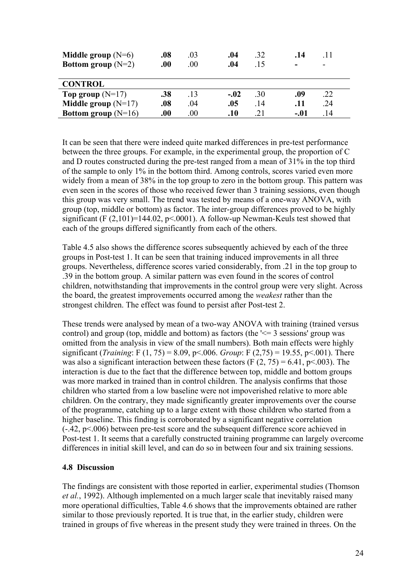| Middle group $(N=6)$<br>Bottom group $(N=2)$ | .08<br>.00. | .03<br>.00. | .04<br>.04 | .32<br>15 | .14<br>- | -11 |
|----------------------------------------------|-------------|-------------|------------|-----------|----------|-----|
| <b>CONTROL</b>                               |             |             |            |           |          |     |
| Top group $(N=17)$                           | .38         | .13         | $-.02$     | .30       | .09      | .22 |
| <b>Middle group</b> $(N=17)$                 | .08         | .04         | .05        | 14        | .11      | .24 |
| Bottom group $(N=16)$                        | 00.         | .00         | .10        | 21        | $-.01$   | 14  |

It can be seen that there were indeed quite marked differences in pre-test performance between the three groups. For example, in the experimental group, the proportion of C and D routes constructed during the pre-test ranged from a mean of 31% in the top third of the sample to only 1% in the bottom third. Among controls, scores varied even more widely from a mean of 38% in the top group to zero in the bottom group. This pattern was even seen in the scores of those who received fewer than 3 training sessions, even though this group was very small. The trend was tested by means of a one-way ANOVA, with group (top, middle or bottom) as factor. The inter-group differences proved to be highly significant (F  $(2,101)=144.02$ , p<.0001). A follow-up Newman-Keuls test showed that each of the groups differed significantly from each of the others.

Table 4.5 also shows the difference scores subsequently achieved by each of the three groups in Post-test 1. It can be seen that training induced improvements in all three groups. Nevertheless, difference scores varied considerably, from .21 in the top group to .39 in the bottom group. A similar pattern was even found in the scores of control children, notwithstanding that improvements in the control group were very slight. Across the board, the greatest improvements occurred among the *weakest* rather than the strongest children. The effect was found to persist after Post-test 2.

These trends were analysed by mean of a two-way ANOVA with training (trained versus control) and group (top, middle and bottom) as factors (the  $\leq$  3 sessions' group was omitted from the analysis in view of the small numbers). Both main effects were highly significant (*Training*: F (1, 75) = 8.09, p<.006. *Group*: F (2,75) = 19.55, p<.001). There was also a significant interaction between these factors (F  $(2, 75) = 6.41$ , p<.003). The interaction is due to the fact that the difference between top, middle and bottom groups was more marked in trained than in control children. The analysis confirms that those children who started from a low baseline were not impoverished relative to more able children. On the contrary, they made significantly greater improvements over the course of the programme, catching up to a large extent with those children who started from a higher baseline. This finding is corroborated by a significant negative correlation (-.42, p<.006) between pre-test score and the subsequent difference score achieved in Post-test 1. It seems that a carefully constructed training programme can largely overcome differences in initial skill level, and can do so in between four and six training sessions.

## **4.8 Discussion**

The findings are consistent with those reported in earlier, experimental studies (Thomson *et al.*, 1992). Although implemented on a much larger scale that inevitably raised many more operational difficulties, Table 4.6 shows that the improvements obtained are rather similar to those previously reported. It is true that, in the earlier study, children were trained in groups of five whereas in the present study they were trained in threes. On the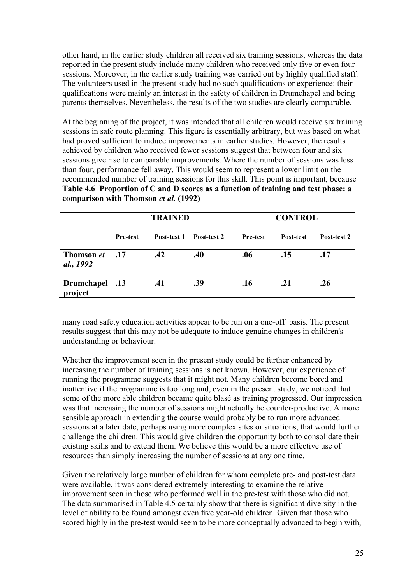other hand, in the earlier study children all received six training sessions, whereas the data reported in the present study include many children who received only five or even four sessions. Moreover, in the earlier study training was carried out by highly qualified staff. The volunteers used in the present study had no such qualifications or experience: their qualifications were mainly an interest in the safety of children in Drumchapel and being parents themselves. Nevertheless, the results of the two studies are clearly comparable.

At the beginning of the project, it was intended that all children would receive six training sessions in safe route planning. This figure is essentially arbitrary, but was based on what had proved sufficient to induce improvements in earlier studies. However, the results achieved by children who received fewer sessions suggest that between four and six sessions give rise to comparable improvements. Where the number of sessions was less than four, performance fell away. This would seem to represent a lower limit on the recommended number of training sessions for this skill. This point is important, because **Table 4.6 Proportion of C and D scores as a function of training and test phase: a comparison with Thomson** *et al.* **(1992)** 

|                                | <b>TRAINED</b>  |             |             | <b>CONTROL</b>  |           |             |  |
|--------------------------------|-----------------|-------------|-------------|-----------------|-----------|-------------|--|
|                                | <b>Pre-test</b> | Post-test 1 | Post-test 2 | <b>Pre-test</b> | Post-test | Post-test 2 |  |
| <b>Thomson</b> et<br>al., 1992 | .17             | .42         | .40         | .06             | .15       | .17         |  |
| 13. Drumchapel<br>project      |                 | .41         | .39         | .16             | .21       | .26         |  |

many road safety education activities appear to be run on a one-off basis. The present results suggest that this may not be adequate to induce genuine changes in children's understanding or behaviour.

Whether the improvement seen in the present study could be further enhanced by increasing the number of training sessions is not known. However, our experience of running the programme suggests that it might not. Many children become bored and inattentive if the programme is too long and, even in the present study, we noticed that some of the more able children became quite blasé as training progressed. Our impression was that increasing the number of sessions might actually be counter-productive. A more sensible approach in extending the course would probably be to run more advanced sessions at a later date, perhaps using more complex sites or situations, that would further challenge the children. This would give children the opportunity both to consolidate their existing skills and to extend them. We believe this would be a more effective use of resources than simply increasing the number of sessions at any one time.

Given the relatively large number of children for whom complete pre- and post-test data were available, it was considered extremely interesting to examine the relative improvement seen in those who performed well in the pre-test with those who did not. The data summarised in Table 4.5 certainly show that there is significant diversity in the level of ability to be found amongst even five year-old children. Given that those who scored highly in the pre-test would seem to be more conceptually advanced to begin with,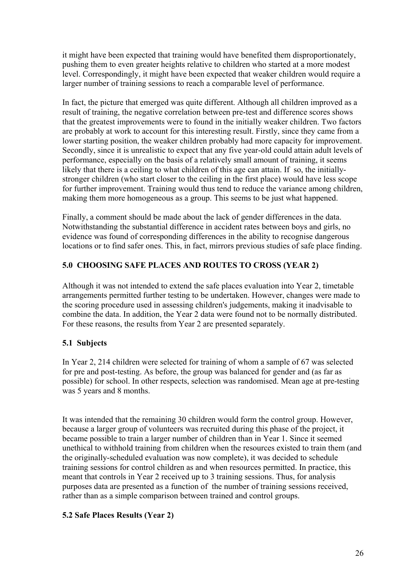it might have been expected that training would have benefited them disproportionately, pushing them to even greater heights relative to children who started at a more modest level. Correspondingly, it might have been expected that weaker children would require a larger number of training sessions to reach a comparable level of performance.

In fact, the picture that emerged was quite different. Although all children improved as a result of training, the negative correlation between pre-test and difference scores shows that the greatest improvements were to found in the initially weaker children. Two factors are probably at work to account for this interesting result. Firstly, since they came from a lower starting position, the weaker children probably had more capacity for improvement. Secondly, since it is unrealistic to expect that any five year-old could attain adult levels of performance, especially on the basis of a relatively small amount of training, it seems likely that there is a ceiling to what children of this age can attain. If so, the initiallystronger children (who start closer to the ceiling in the first place) would have less scope for further improvement. Training would thus tend to reduce the variance among children, making them more homogeneous as a group. This seems to be just what happened.

Finally, a comment should be made about the lack of gender differences in the data. Notwithstanding the substantial difference in accident rates between boys and girls, no evidence was found of corresponding differences in the ability to recognise dangerous locations or to find safer ones. This, in fact, mirrors previous studies of safe place finding.

## **5.0 CHOOSING SAFE PLACES AND ROUTES TO CROSS (YEAR 2)**

Although it was not intended to extend the safe places evaluation into Year 2, timetable arrangements permitted further testing to be undertaken. However, changes were made to the scoring procedure used in assessing children's judgements, making it inadvisable to combine the data. In addition, the Year 2 data were found not to be normally distributed. For these reasons, the results from Year 2 are presented separately.

## **5.1 Subjects**

In Year 2, 214 children were selected for training of whom a sample of 67 was selected for pre and post-testing. As before, the group was balanced for gender and (as far as possible) for school. In other respects, selection was randomised. Mean age at pre-testing was 5 years and 8 months.

It was intended that the remaining 30 children would form the control group. However, because a larger group of volunteers was recruited during this phase of the project, it became possible to train a larger number of children than in Year 1. Since it seemed unethical to withhold training from children when the resources existed to train them (and the originally-scheduled evaluation was now complete), it was decided to schedule training sessions for control children as and when resources permitted. In practice, this meant that controls in Year 2 received up to 3 training sessions. Thus, for analysis purposes data are presented as a function of the number of training sessions received, rather than as a simple comparison between trained and control groups.

## **5.2 Safe Places Results (Year 2)**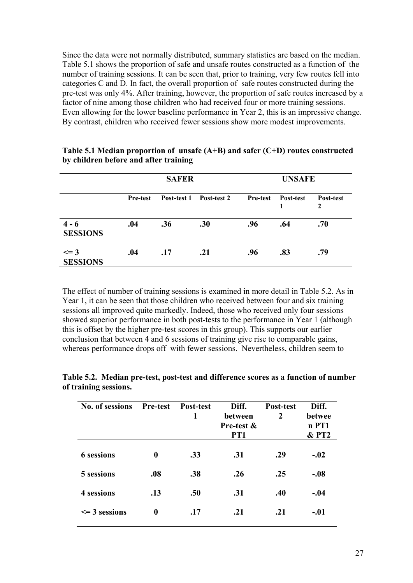Since the data were not normally distributed, summary statistics are based on the median. Table 5.1 shows the proportion of safe and unsafe routes constructed as a function of the number of training sessions. It can be seen that, prior to training, very few routes fell into categories C and D. In fact, the overall proportion of safe routes constructed during the pre-test was only 4%. After training, however, the proportion of safe routes increased by a factor of nine among those children who had received four or more training sessions. Even allowing for the lower baseline performance in Year 2, this is an impressive change. By contrast, children who received fewer sessions show more modest improvements.

|                             | <b>SAFER</b>    |             |             | <b>UNSAFE</b>   |           |                           |
|-----------------------------|-----------------|-------------|-------------|-----------------|-----------|---------------------------|
|                             | <b>Pre-test</b> | Post-test 1 | Post-test 2 | <b>Pre-test</b> | Post-test | Post-test<br>$\mathbf{2}$ |
| $4 - 6$<br><b>SESSIONS</b>  | .04             | .36         | .30         | .96             | .64       | .70                       |
| $\leq$ 3<br><b>SESSIONS</b> | .04             | .17         | .21         | .96             | .83       | .79                       |

**Table 5.1 Median proportion of unsafe (A+B) and safer (C+D) routes constructed by children before and after training** 

The effect of number of training sessions is examined in more detail in Table 5.2. As in Year 1, it can be seen that those children who received between four and six training sessions all improved quite markedly. Indeed, those who received only four sessions showed superior performance in both post-tests to the performance in Year 1 (although this is offset by the higher pre-test scores in this group). This supports our earlier conclusion that between 4 and 6 sessions of training give rise to comparable gains, whereas performance drops off with fewer sessions. Nevertheless, children seem to

| No. of sessions   | <b>Pre-test</b>  | <b>Post-test</b><br>1 | Diff.<br>between<br>Pre-test &<br>PT1 | <b>Post-test</b><br>2 | Diff.<br>betwee<br>n PT1<br>$&$ PT2 |
|-------------------|------------------|-----------------------|---------------------------------------|-----------------------|-------------------------------------|
| <b>6</b> sessions | $\boldsymbol{0}$ | .33                   | .31                                   | .29                   | $-.02$                              |
| 5 sessions        | .08              | .38                   | .26                                   | .25                   | $-.08$                              |
| 4 sessions        | .13              | .50                   | .31                                   | .40                   | $-.04$                              |
| $\leq$ 3 sessions | $\bf{0}$         | .17                   | .21                                   | .21                   | $-.01$                              |

**Table 5.2. Median pre-test, post-test and difference scores as a function of number of training sessions.**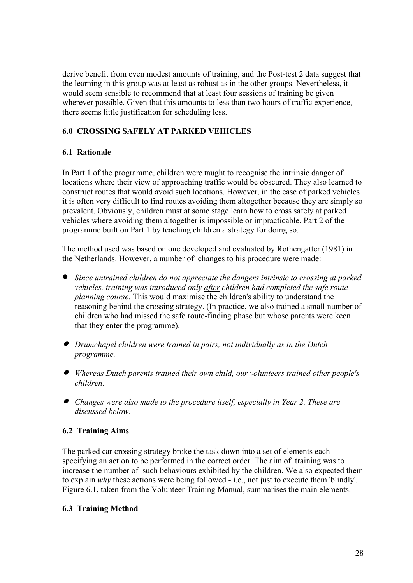derive benefit from even modest amounts of training, and the Post-test 2 data suggest that the learning in this group was at least as robust as in the other groups. Nevertheless, it would seem sensible to recommend that at least four sessions of training be given wherever possible. Given that this amounts to less than two hours of traffic experience, there seems little justification for scheduling less.

# **6.0 CROSSING SAFELY AT PARKED VEHICLES**

## **6.1 Rationale**

In Part 1 of the programme, children were taught to recognise the intrinsic danger of locations where their view of approaching traffic would be obscured. They also learned to construct routes that would avoid such locations. However, in the case of parked vehicles it is often very difficult to find routes avoiding them altogether because they are simply so prevalent. Obviously, children must at some stage learn how to cross safely at parked vehicles where avoiding them altogether is impossible or impracticable. Part 2 of the programme built on Part 1 by teaching children a strategy for doing so.

The method used was based on one developed and evaluated by Rothengatter (1981) in the Netherlands. However, a number of changes to his procedure were made:

- *Since untrained children do not appreciate the dangers intrinsic to crossing at parked vehicles, training was introduced only after children had completed the safe route planning course.* This would maximise the children's ability to understand the reasoning behind the crossing strategy. (In practice, we also trained a small number of children who had missed the safe route-finding phase but whose parents were keen that they enter the programme).
- • *Drumchapel children were trained in pairs, not individually as in the Dutch programme.*
- • *Whereas Dutch parents trained their own child, our volunteers trained other people's children.*
- • *Changes were also made to the procedure itself, especially in Year 2. These are discussed below.*

# **6.2 Training Aims**

The parked car crossing strategy broke the task down into a set of elements each specifying an action to be performed in the correct order. The aim of training was to increase the number of such behaviours exhibited by the children. We also expected them to explain *why* these actions were being followed - i.e., not just to execute them 'blindly'. Figure 6.1, taken from the Volunteer Training Manual, summarises the main elements.

## **6.3 Training Method**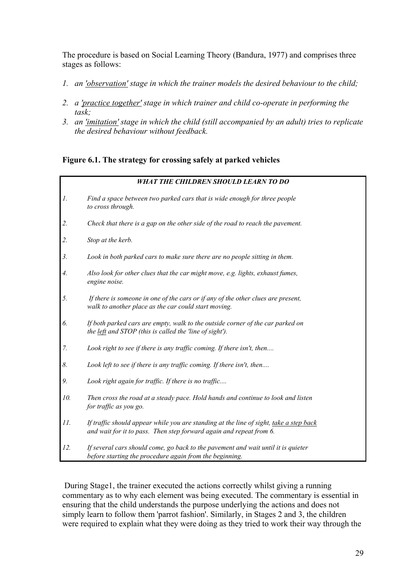The procedure is based on Social Learning Theory (Bandura, 1977) and comprises three stages as follows:

- *1. an 'observation' stage in which the trainer models the desired behaviour to the child;*
- *2. a 'practice together' stage in which trainer and child co-operate in performing the task;*
- *3. an 'imitation' stage in which the child (still accompanied by an adult) tries to replicate the desired behaviour without feedback.*

#### **Figure 6.1. The strategy for crossing safely at parked vehicles**

|                 | <b>WHAT THE CHILDREN SHOULD LEARN TO DO</b>                                                                                                                   |
|-----------------|---------------------------------------------------------------------------------------------------------------------------------------------------------------|
| $\mathcal{I}$ . | Find a space between two parked cars that is wide enough for three people<br>to cross through.                                                                |
| 2.              | Check that there is a gap on the other side of the road to reach the pavement.                                                                                |
| 2.              | Stop at the kerb.                                                                                                                                             |
| 3.              | Look in both parked cars to make sure there are no people sitting in them.                                                                                    |
| 4.              | Also look for other clues that the car might move, e.g. lights, exhaust fumes,<br>engine noise.                                                               |
| 5.              | If there is someone in one of the cars or if any of the other clues are present,<br>walk to another place as the car could start moving.                      |
| 6.              | If both parked cars are empty, walk to the outside corner of the car parked on<br>the left and STOP (this is called the 'line of sight').                     |
| 7.              | Look right to see if there is any traffic coming. If there isn't, then                                                                                        |
| 8.              | Look left to see if there is any traffic coming. If there isn't, then                                                                                         |
| 9.              | Look right again for traffic. If there is no traffic                                                                                                          |
| 10.             | Then cross the road at a steady pace. Hold hands and continue to look and listen<br>for traffic as you go.                                                    |
| 11.             | If traffic should appear while you are standing at the line of sight, take a step back<br>and wait for it to pass. Then step forward again and repeat from 6. |
| 12.             | If several cars should come, go back to the pavement and wait until it is quieter<br>before starting the procedure again from the beginning.                  |

 During Stage1, the trainer executed the actions correctly whilst giving a running commentary as to why each element was being executed. The commentary is essential in ensuring that the child understands the purpose underlying the actions and does not simply learn to follow them 'parrot fashion'. Similarly, in Stages 2 and 3, the children were required to explain what they were doing as they tried to work their way through the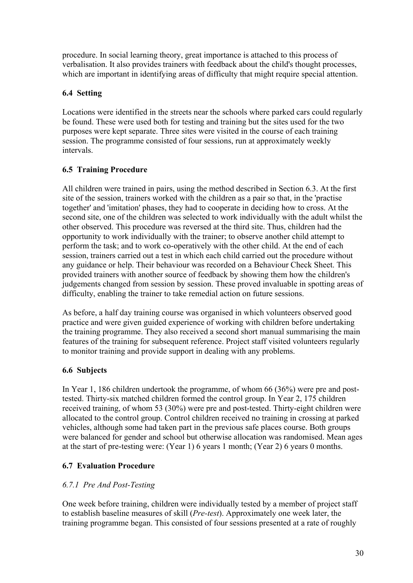procedure. In social learning theory, great importance is attached to this process of verbalisation. It also provides trainers with feedback about the child's thought processes, which are important in identifying areas of difficulty that might require special attention.

## **6.4 Setting**

Locations were identified in the streets near the schools where parked cars could regularly be found. These were used both for testing and training but the sites used for the two purposes were kept separate. Three sites were visited in the course of each training session. The programme consisted of four sessions, run at approximately weekly intervals.

## **6.5 Training Procedure**

All children were trained in pairs, using the method described in Section 6.3. At the first site of the session, trainers worked with the children as a pair so that, in the 'practise together' and 'imitation' phases, they had to cooperate in deciding how to cross. At the second site, one of the children was selected to work individually with the adult whilst the other observed. This procedure was reversed at the third site. Thus, children had the opportunity to work individually with the trainer; to observe another child attempt to perform the task; and to work co-operatively with the other child. At the end of each session, trainers carried out a test in which each child carried out the procedure without any guidance or help. Their behaviour was recorded on a Behaviour Check Sheet. This provided trainers with another source of feedback by showing them how the children's judgements changed from session by session. These proved invaluable in spotting areas of difficulty, enabling the trainer to take remedial action on future sessions.

As before, a half day training course was organised in which volunteers observed good practice and were given guided experience of working with children before undertaking the training programme. They also received a second short manual summarising the main features of the training for subsequent reference. Project staff visited volunteers regularly to monitor training and provide support in dealing with any problems.

# **6.6 Subjects**

In Year 1, 186 children undertook the programme, of whom 66 (36%) were pre and posttested. Thirty-six matched children formed the control group. In Year 2, 175 children received training, of whom 53 (30%) were pre and post-tested. Thirty-eight children were allocated to the control group. Control children received no training in crossing at parked vehicles, although some had taken part in the previous safe places course. Both groups were balanced for gender and school but otherwise allocation was randomised. Mean ages at the start of pre-testing were: (Year 1) 6 years 1 month; (Year 2) 6 years 0 months.

# **6.7 Evaluation Procedure**

# *6.7.1 Pre And Post-Testing*

One week before training, children were individually tested by a member of project staff to establish baseline measures of skill (*Pre-test*). Approximately one week later, the training programme began. This consisted of four sessions presented at a rate of roughly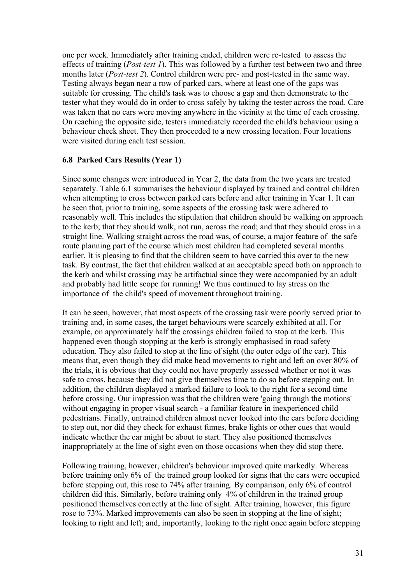one per week. Immediately after training ended, children were re-tested to assess the effects of training (*Post-test 1*). This was followed by a further test between two and three months later (*Post-test 2*). Control children were pre- and post-tested in the same way. Testing always began near a row of parked cars, where at least one of the gaps was suitable for crossing. The child's task was to choose a gap and then demonstrate to the tester what they would do in order to cross safely by taking the tester across the road. Care was taken that no cars were moving anywhere in the vicinity at the time of each crossing. On reaching the opposite side, testers immediately recorded the child's behaviour using a behaviour check sheet. They then proceeded to a new crossing location. Four locations were visited during each test session.

## **6.8 Parked Cars Results (Year 1)**

Since some changes were introduced in Year 2, the data from the two years are treated separately. Table 6.1 summarises the behaviour displayed by trained and control children when attempting to cross between parked cars before and after training in Year 1. It can be seen that, prior to training, some aspects of the crossing task were adhered to reasonably well. This includes the stipulation that children should be walking on approach to the kerb; that they should walk, not run, across the road; and that they should cross in a straight line. Walking straight across the road was, of course, a major feature of the safe route planning part of the course which most children had completed several months earlier. It is pleasing to find that the children seem to have carried this over to the new task. By contrast, the fact that children walked at an acceptable speed both on approach to the kerb and whilst crossing may be artifactual since they were accompanied by an adult and probably had little scope for running! We thus continued to lay stress on the importance of the child's speed of movement throughout training.

It can be seen, however, that most aspects of the crossing task were poorly served prior to training and, in some cases, the target behaviours were scarcely exhibited at all. For example, on approximately half the crossings children failed to stop at the kerb. This happened even though stopping at the kerb is strongly emphasised in road safety education. They also failed to stop at the line of sight (the outer edge of the car). This means that, even though they did make head movements to right and left on over 80% of the trials, it is obvious that they could not have properly assessed whether or not it was safe to cross, because they did not give themselves time to do so before stepping out. In addition, the children displayed a marked failure to look to the right for a second time before crossing. Our impression was that the children were 'going through the motions' without engaging in proper visual search - a familiar feature in inexperienced child pedestrians. Finally, untrained children almost never looked into the cars before deciding to step out, nor did they check for exhaust fumes, brake lights or other cues that would indicate whether the car might be about to start. They also positioned themselves inappropriately at the line of sight even on those occasions when they did stop there.

Following training, however, children's behaviour improved quite markedly. Whereas before training only 6% of the trained group looked for signs that the cars were occupied before stepping out, this rose to 74% after training. By comparison, only 6% of control children did this. Similarly, before training only 4% of children in the trained group positioned themselves correctly at the line of sight. After training, however, this figure rose to 73%. Marked improvements can also be seen in stopping at the line of sight; looking to right and left; and, importantly, looking to the right once again before stepping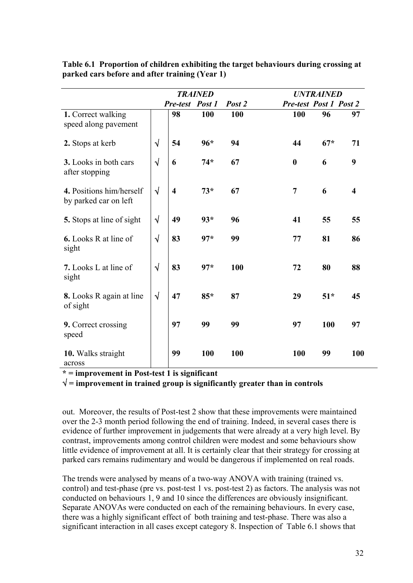|                                                   | <b>TRAINED</b> |                         |       |        | <b>UNTRAINED</b>              |       |                         |
|---------------------------------------------------|----------------|-------------------------|-------|--------|-------------------------------|-------|-------------------------|
|                                                   |                | Pre-test Post 1         |       | Post 2 | <b>Pre-test Post 1 Post 2</b> |       |                         |
| 1. Correct walking<br>speed along pavement        |                | 98                      | 100   | 100    | 100                           | 96    | 97                      |
| 2. Stops at kerb                                  | $\sqrt{ }$     | 54                      | $96*$ | 94     | 44                            | $67*$ | 71                      |
| 3. Looks in both cars<br>after stopping           | $\sqrt{ }$     | 6                       | $74*$ | 67     | $\boldsymbol{0}$              | 6     | 9                       |
| 4. Positions him/herself<br>by parked car on left | $\sqrt{ }$     | $\overline{\mathbf{4}}$ | $73*$ | 67     | $\overline{7}$                | 6     | $\overline{\mathbf{4}}$ |
| 5. Stops at line of sight                         | $\sqrt{ }$     | 49                      | $93*$ | 96     | 41                            | 55    | 55                      |
| <b>6.</b> Looks R at line of<br>sight             | $\sqrt{ }$     | 83                      | $97*$ | 99     | 77                            | 81    | 86                      |
| 7. Looks L at line of<br>sight                    | $\sqrt{ }$     | 83                      | $97*$ | 100    | 72                            | 80    | 88                      |
| <b>8.</b> Looks R again at line<br>of sight       | $\sqrt{ }$     | 47                      | $85*$ | 87     | 29                            | $51*$ | 45                      |
| 9. Correct crossing<br>speed                      |                | 97                      | 99    | 99     | 97                            | 100   | 97                      |
| 10. Walks straight<br>across                      |                | 99                      | 100   | 100    | 100                           | 99    | 100                     |

**Table 6.1 Proportion of children exhibiting the target behaviours during crossing at parked cars before and after training (Year 1)** 

**\* = improvement in Post-test 1 is significant** 

√ **= improvement in trained group is significantly greater than in controls**

out. Moreover, the results of Post-test 2 show that these improvements were maintained over the 2-3 month period following the end of training. Indeed, in several cases there is evidence of further improvement in judgements that were already at a very high level. By contrast, improvements among control children were modest and some behaviours show little evidence of improvement at all. It is certainly clear that their strategy for crossing at parked cars remains rudimentary and would be dangerous if implemented on real roads.

The trends were analysed by means of a two-way ANOVA with training (trained vs. control) and test-phase (pre vs. post-test 1 vs. post-test 2) as factors. The analysis was not conducted on behaviours 1, 9 and 10 since the differences are obviously insignificant. Separate ANOVAs were conducted on each of the remaining behaviours. In every case, there was a highly significant effect of both training and test-phase. There was also a significant interaction in all cases except category 8. Inspection of Table 6.1 shows that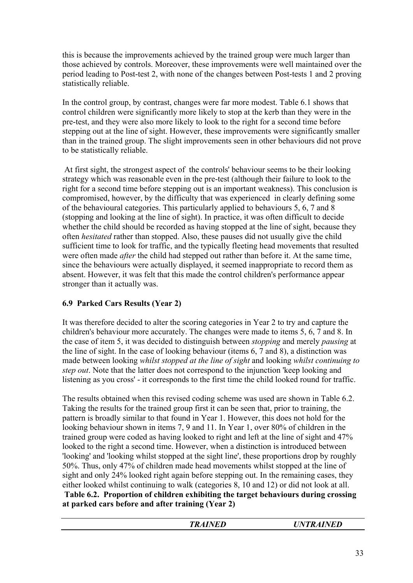this is because the improvements achieved by the trained group were much larger than those achieved by controls. Moreover, these improvements were well maintained over the period leading to Post-test 2, with none of the changes between Post-tests 1 and 2 proving statistically reliable.

In the control group, by contrast, changes were far more modest. Table 6.1 shows that control children were significantly more likely to stop at the kerb than they were in the pre-test, and they were also more likely to look to the right for a second time before stepping out at the line of sight. However, these improvements were significantly smaller than in the trained group. The slight improvements seen in other behaviours did not prove to be statistically reliable.

 At first sight, the strongest aspect of the controls' behaviour seems to be their looking strategy which was reasonable even in the pre-test (although their failure to look to the right for a second time before stepping out is an important weakness). This conclusion is compromised, however, by the difficulty that was experienced in clearly defining some of the behavioural categories. This particularly applied to behaviours 5, 6, 7 and 8 (stopping and looking at the line of sight). In practice, it was often difficult to decide whether the child should be recorded as having stopped at the line of sight, because they often *hesitated* rather than stopped. Also, these pauses did not usually give the child sufficient time to look for traffic, and the typically fleeting head movements that resulted were often made *after* the child had stepped out rather than before it. At the same time, since the behaviours were actually displayed, it seemed inappropriate to record them as absent. However, it was felt that this made the control children's performance appear stronger than it actually was.

# **6.9 Parked Cars Results (Year 2)**

It was therefore decided to alter the scoring categories in Year 2 to try and capture the children's behaviour more accurately. The changes were made to items 5, 6, 7 and 8. In the case of item 5, it was decided to distinguish between *stopping* and merely *pausing* at the line of sight. In the case of looking behaviour (items 6, 7 and 8), a distinction was made between looking *whilst stopped at the line of sight* and looking *whilst continuing to step out*. Note that the latter does not correspond to the injunction 'keep looking and listening as you cross' - it corresponds to the first time the child looked round for traffic.

The results obtained when this revised coding scheme was used are shown in Table 6.2. Taking the results for the trained group first it can be seen that, prior to training, the pattern is broadly similar to that found in Year 1. However, this does not hold for the looking behaviour shown in items 7, 9 and 11. In Year 1, over 80% of children in the trained group were coded as having looked to right and left at the line of sight and 47% looked to the right a second time. However, when a distinction is introduced between 'looking' and 'looking whilst stopped at the sight line', these proportions drop by roughly 50%. Thus, only 47% of children made head movements whilst stopped at the line of sight and only 24% looked right again before stepping out. In the remaining cases, they either looked whilst continuing to walk (categories 8, 10 and 12) or did not look at all. **Table 6.2. Proportion of children exhibiting the target behaviours during crossing at parked cars before and after training (Year 2)** 

| INIF<br>TD<br><u>ілан</u><br>∠<br>LD<br>- | <i><b>AINED</b></i><br>$\boldsymbol{\Lambda}$<br>N<br>" |
|-------------------------------------------|---------------------------------------------------------|
|                                           |                                                         |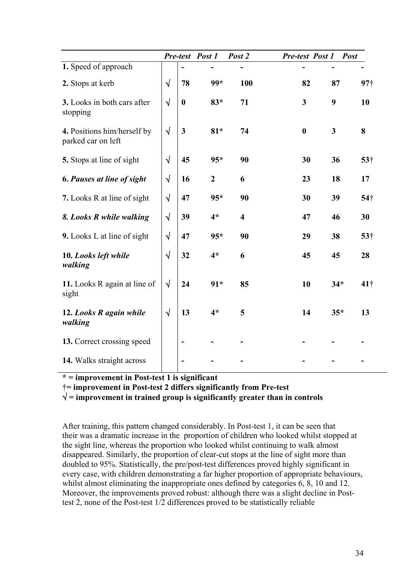|                                                   |            |                  | Pre-test Post 1  | Post 2                  | Pre-test Post 1  |              | <b>Post</b>     |
|---------------------------------------------------|------------|------------------|------------------|-------------------------|------------------|--------------|-----------------|
| 1. Speed of approach                              |            |                  |                  |                         |                  |              |                 |
| 2. Stops at kerb                                  | $\sqrt{ }$ | 78               | 99*              | 100                     | 82               | 87           | 97 <sub>1</sub> |
| 3. Looks in both cars after<br>stopping           | $\sqrt{ }$ | $\boldsymbol{0}$ | $83*$            | 71                      | $\mathbf{3}$     | 9            | 10              |
| 4. Positions him/herself by<br>parked car on left | $\sqrt{}$  | $\mathbf{3}$     | $81*$            | 74                      | $\boldsymbol{0}$ | $\mathbf{3}$ | 8               |
| 5. Stops at line of sight                         | $\sqrt{ }$ | 45               | $95*$            | 90                      | 30               | 36           | 53†             |
| <b>6. Pauses at line of sight</b>                 | $\sqrt{ }$ | 16               | $\boldsymbol{2}$ | 6                       | 23               | 18           | 17              |
| 7. Looks R at line of sight                       | $\sqrt{}$  | 47               | $95*$            | 90                      | 30               | 39           | $54\dagger$     |
| 8. Looks R while walking                          | $\sqrt{}$  | 39               | $4*$             | $\overline{\mathbf{4}}$ | 47               | 46           | 30              |
| 9. Looks L at line of sight                       | $\sqrt{}$  | 47               | $95*$            | 90                      | 29               | 38           | 53†             |
| 10. Looks left while<br>walking                   | $\sqrt{}$  | 32               | $4*$             | 6                       | 45               | 45           | 28              |
| 11. Looks R again at line of<br>sight             | $\sqrt{ }$ | 24               | $91*$            | 85                      | 10               | $34*$        | $41\dagger$     |
| 12. Looks R again while<br>walking                | $\sqrt{ }$ | 13               | $4*$             | 5                       | 14               | $35*$        | 13              |
| 13. Correct crossing speed                        |            |                  |                  |                         |                  |              |                 |
| 14. Walks straight across                         |            |                  |                  |                         |                  |              |                 |

**\* = improvement in Post-test 1 is significant** 

Ü**= improvement in Post-test 2 differs significantly from Pre-test** 

√ **= improvement in trained group is significantly greater than in controls**

After training, this pattern changed considerably. In Post-test 1, it can be seen that their was a dramatic increase in the proportion of children who looked whilst stopped at the sight line, whereas the proportion who looked whilst continuing to walk almost disappeared. Similarly, the proportion of clear-cut stops at the line of sight more than doubled to 95%. Statistically, the pre/post-test differences proved highly significant in every case, with children demonstrating a far higher proportion of appropriate behaviours, whilst almost eliminating the inappropriate ones defined by categories 6, 8, 10 and 12. Moreover, the improvements proved robust: although there was a slight decline in Posttest 2, none of the Post-test 1/2 differences proved to be statistically reliable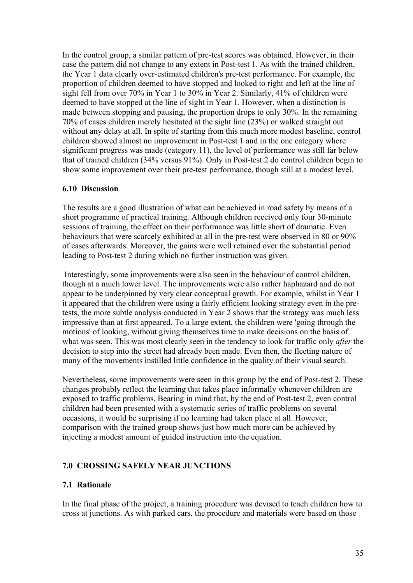In the control group, a similar pattern of pre-test scores was obtained. However, in their case the pattern did not change to any extent in Post-test 1. As with the trained children, the Year 1 data clearly over-estimated children's pre-test performance. For example, the proportion of children deemed to have stopped and looked to right and left at the line of sight fell from over 70% in Year 1 to 30% in Year 2. Similarly, 41% of children were deemed to have stopped at the line of sight in Year 1. However, when a distinction is made between stopping and pausing, the proportion drops to only  $30\%$ . In the remaining 70% of cases children merely hesitated at the sight line (23%) or walked straight out without any delay at all. In spite of starting from this much more modest baseline, control children showed almost no improvement in Post-test 1 and in the one category where significant progress was made (category 11), the level of performance was still far below that of trained children (34% versus 91%). Only in Post-test 2 do control children begin to show some improvement over their pre-test performance, though still at a modest level.

#### **6.10 Discussion**

The results are a good illustration of what can be achieved in road safety by means of a short programme of practical training. Although children received only four 30-minute sessions of training, the effect on their performance was little short of dramatic. Even behaviours that were scarcely exhibited at all in the pre-test were observed in 80 or 90% of cases afterwards. Moreover, the gains were well retained over the substantial period leading to Post-test 2 during which no further instruction was given.

 Interestingly, some improvements were also seen in the behaviour of control children, though at a much lower level. The improvements were also rather haphazard and do not appear to be underpinned by very clear conceptual growth. For example, whilst in Year 1 it appeared that the children were using a fairly efficient looking strategy even in the pretests, the more subtle analysis conducted in Year 2 shows that the strategy was much less impressive than at first appeared. To a large extent, the children were 'going through the motions' of looking, without giving themselves time to make decisions on the basis of what was seen. This was most clearly seen in the tendency to look for traffic only *after* the decision to step into the street had already been made. Even then, the fleeting nature of many of the movements instilled little confidence in the quality of their visual search.

Nevertheless, some improvements were seen in this group by the end of Post-test 2. These changes probably reflect the learning that takes place informally whenever children are exposed to traffic problems. Bearing in mind that, by the end of Post-test 2, even control children had been presented with a systematic series of traffic problems on several occasions, it would be surprising if no learning had taken place at all. However, comparison with the trained group shows just how much more can be achieved by injecting a modest amount of guided instruction into the equation.

## **7.0 CROSSING SAFELY NEAR JUNCTIONS**

## **7.1 Rationale**

In the final phase of the project, a training procedure was devised to teach children how to cross at junctions. As with parked cars, the procedure and materials were based on those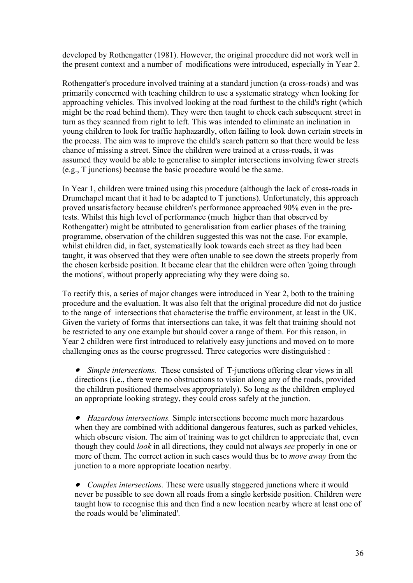developed by Rothengatter (1981). However, the original procedure did not work well in the present context and a number of modifications were introduced, especially in Year 2.

Rothengatter's procedure involved training at a standard junction (a cross-roads) and was primarily concerned with teaching children to use a systematic strategy when looking for approaching vehicles. This involved looking at the road furthest to the child's right (which might be the road behind them). They were then taught to check each subsequent street in turn as they scanned from right to left. This was intended to eliminate an inclination in young children to look for traffic haphazardly, often failing to look down certain streets in the process. The aim was to improve the child's search pattern so that there would be less chance of missing a street. Since the children were trained at a cross-roads, it was assumed they would be able to generalise to simpler intersections involving fewer streets (e.g., T junctions) because the basic procedure would be the same.

In Year 1, children were trained using this procedure (although the lack of cross-roads in Drumchapel meant that it had to be adapted to T junctions). Unfortunately, this approach proved unsatisfactory because children's performance approached 90% even in the pretests. Whilst this high level of performance (much higher than that observed by Rothengatter) might be attributed to generalisation from earlier phases of the training programme, observation of the children suggested this was not the case. For example, whilst children did, in fact, systematically look towards each street as they had been taught, it was observed that they were often unable to see down the streets properly from the chosen kerbside position. It became clear that the children were often 'going through the motions', without properly appreciating why they were doing so.

To rectify this, a series of major changes were introduced in Year 2, both to the training procedure and the evaluation. It was also felt that the original procedure did not do justice to the range of intersections that characterise the traffic environment, at least in the UK. Given the variety of forms that intersections can take, it was felt that training should not be restricted to any one example but should cover a range of them. For this reason, in Year 2 children were first introduced to relatively easy junctions and moved on to more challenging ones as the course progressed. Three categories were distinguished :

• *Simple intersections.* These consisted of T-junctions offering clear views in all directions (i.e., there were no obstructions to vision along any of the roads, provided the children positioned themselves appropriately). So long as the children employed an appropriate looking strategy, they could cross safely at the junction.

• *Hazardous intersections.* Simple intersections become much more hazardous when they are combined with additional dangerous features, such as parked vehicles, which obscure vision. The aim of training was to get children to appreciate that, even though they could *look* in all directions, they could not always *see* properly in one or more of them. The correct action in such cases would thus be to *move away* from the junction to a more appropriate location nearby.

• *Complex intersections.* These were usually staggered junctions where it would never be possible to see down all roads from a single kerbside position. Children were taught how to recognise this and then find a new location nearby where at least one of the roads would be 'eliminated'.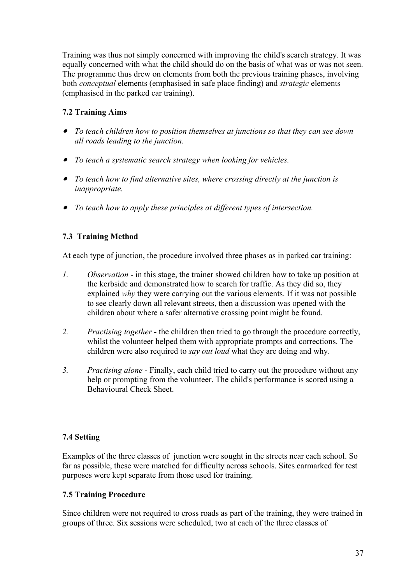Training was thus not simply concerned with improving the child's search strategy. It was equally concerned with what the child should do on the basis of what was or was not seen. The programme thus drew on elements from both the previous training phases, involving both *conceptual* elements (emphasised in safe place finding) and *strategic* elements (emphasised in the parked car training).

# **7.2 Training Aims**

- • *To teach children how to position themselves at junctions so that they can see down all roads leading to the junction.*
- • *To teach a systematic search strategy when looking for vehicles.*
- • *To teach how to find alternative sites, where crossing directly at the junction is inappropriate.*
- • *To teach how to apply these principles at different types of intersection.*

# **7.3 Training Method**

At each type of junction, the procedure involved three phases as in parked car training:

- *1. Observation* in this stage, the trainer showed children how to take up position at the kerbside and demonstrated how to search for traffic. As they did so, they explained *why* they were carrying out the various elements. If it was not possible to see clearly down all relevant streets, then a discussion was opened with the children about where a safer alternative crossing point might be found.
- *2. Practising together*  the children then tried to go through the procedure correctly, whilst the volunteer helped them with appropriate prompts and corrections. The children were also required to *say out loud* what they are doing and why.
- *3. Practising alone* Finally, each child tried to carry out the procedure without any help or prompting from the volunteer. The child's performance is scored using a Behavioural Check Sheet.

## **7.4 Setting**

Examples of the three classes of junction were sought in the streets near each school. So far as possible, these were matched for difficulty across schools. Sites earmarked for test purposes were kept separate from those used for training.

# **7.5 Training Procedure**

Since children were not required to cross roads as part of the training, they were trained in groups of three. Six sessions were scheduled, two at each of the three classes of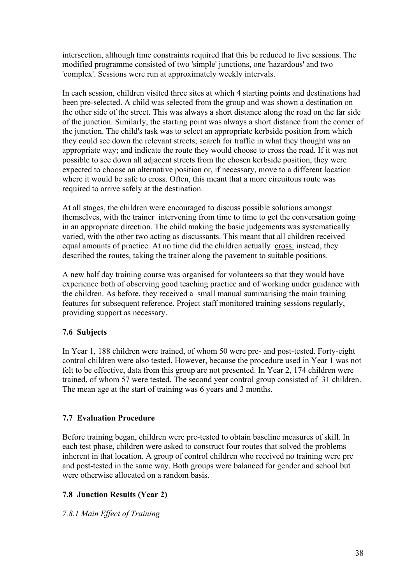intersection, although time constraints required that this be reduced to five sessions. The modified programme consisted of two 'simple' junctions, one 'hazardous' and two 'complex'. Sessions were run at approximately weekly intervals.

In each session, children visited three sites at which 4 starting points and destinations had been pre-selected. A child was selected from the group and was shown a destination on the other side of the street. This was always a short distance along the road on the far side of the junction. Similarly, the starting point was always a short distance from the corner of the junction. The child's task was to select an appropriate kerbside position from which they could see down the relevant streets; search for traffic in what they thought was an appropriate way; and indicate the route they would choose to cross the road. If it was not possible to see down all adjacent streets from the chosen kerbside position, they were expected to choose an alternative position or, if necessary, move to a different location where it would be safe to cross. Often, this meant that a more circuitous route was required to arrive safely at the destination.

At all stages, the children were encouraged to discuss possible solutions amongst themselves, with the trainer intervening from time to time to get the conversation going in an appropriate direction. The child making the basic judgements was systematically varied, with the other two acting as discussants. This meant that all children received equal amounts of practice. At no time did the children actually cross: instead, they described the routes, taking the trainer along the pavement to suitable positions.

A new half day training course was organised for volunteers so that they would have experience both of observing good teaching practice and of working under guidance with the children. As before, they received a small manual summarising the main training features for subsequent reference. Project staff monitored training sessions regularly, providing support as necessary.

# **7.6 Subjects**

In Year 1, 188 children were trained, of whom 50 were pre- and post-tested. Forty-eight control children were also tested. However, because the procedure used in Year 1 was not felt to be effective, data from this group are not presented. In Year 2, 174 children were trained, of whom 57 were tested. The second year control group consisted of 31 children. The mean age at the start of training was 6 years and 3 months.

# **7.7 Evaluation Procedure**

Before training began, children were pre-tested to obtain baseline measures of skill. In each test phase, children were asked to construct four routes that solved the problems inherent in that location. A group of control children who received no training were pre and post-tested in the same way. Both groups were balanced for gender and school but were otherwise allocated on a random basis.

# **7.8 Junction Results (Year 2)**

*7.8.1 Main Effect of Training*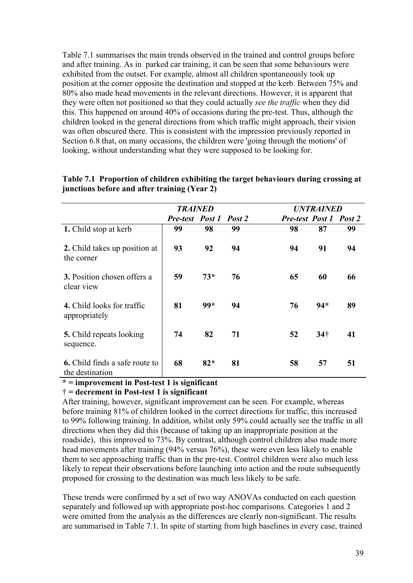Table 7.1 summarises the main trends observed in the trained and control groups before and after training. As in parked car training, it can be seen that some behaviours were exhibited from the outset. For example, almost all children spontaneously took up position at the corner opposite the destination and stopped at the kerb. Between 75% and 80% also made head movements in the relevant directions. However, it is apparent that they were often not positioned so that they could actually *see the traffic* when they did this. This happened on around 40% of occasions during the pre-test. Thus, although the children looked in the general directions from which traffic might approach, their vision was often obscured there. This is consistent with the impression previously reported in Section 6.8 that, on many occasions, the children were 'going through the motions' of looking, without understanding what they were supposed to be looking for.

|                                                          | <b>TRAINED</b>         |       |    | <b>UNTRAINED</b>              |                 |    |  |
|----------------------------------------------------------|------------------------|-------|----|-------------------------------|-----------------|----|--|
|                                                          | Pre-test Post 1 Post 2 |       |    | <b>Pre-test Post 1 Post 2</b> |                 |    |  |
| 1. Child stop at kerb                                    | 99                     | 98    | 99 | 98                            | 87              | 99 |  |
| 2. Child takes up position at<br>the corner              | 93                     | 92    | 94 | 94                            | 91              | 94 |  |
| <b>3.</b> Position chosen offers a<br>clear view         | 59                     | $73*$ | 76 | 65                            | 60              | 66 |  |
| 4. Child looks for traffic<br>appropriately              | 81                     | 99*   | 94 | 76                            | $94*$           | 89 |  |
| <b>5.</b> Child repeats looking<br>sequence.             | 74                     | 82    | 71 | 52                            | 34 <sup>†</sup> | 41 |  |
| <b>6.</b> Child finds a safe route to<br>the destination | 68                     | $82*$ | 81 | 58                            | 57              | 51 |  |

#### **Table 7.1 Proportion of children exhibiting the target behaviours during crossing at junctions before and after training (Year 2)**

#### **\* = improvement in Post-test 1 is significant**

#### Ü **= decrement in Post-test 1 is significant**

After training, however, significant improvement can be seen. For example, whereas before training 81% of children looked in the correct directions for traffic, this increased to 99% following training. In addition, whilst only 59% could actually see the traffic in all directions when they did this (because of taking up an inappropriate position at the roadside), this improved to 73%. By contrast, although control children also made more head movements after training (94% versus 76%), these were even less likely to enable them to see approaching traffic than in the pre-test. Control children were also much less likely to repeat their observations before launching into action and the route subsequently proposed for crossing to the destination was much less likely to be safe.

These trends were confirmed by a set of two way ANOVAs conducted on each question separately and followed up with appropriate post-hoc comparisons. Categories 1 and 2 were omitted from the analysis as the differences are clearly non-significant. The results are summarised in Table 7.1. In spite of starting from high baselines in every case, trained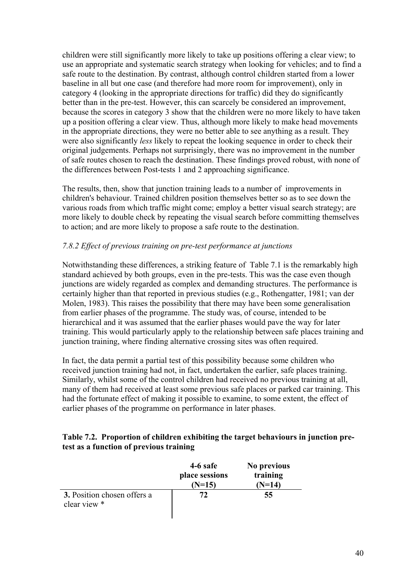children were still significantly more likely to take up positions offering a clear view; to use an appropriate and systematic search strategy when looking for vehicles; and to find a safe route to the destination. By contrast, although control children started from a lower baseline in all but one case (and therefore had more room for improvement), only in category 4 (looking in the appropriate directions for traffic) did they do significantly better than in the pre-test. However, this can scarcely be considered an improvement, because the scores in category 3 show that the children were no more likely to have taken up a position offering a clear view. Thus, although more likely to make head movements in the appropriate directions, they were no better able to see anything as a result. They were also significantly *less* likely to repeat the looking sequence in order to check their original judgements. Perhaps not surprisingly, there was no improvement in the number of safe routes chosen to reach the destination. These findings proved robust, with none of the differences between Post-tests 1 and 2 approaching significance.

The results, then, show that junction training leads to a number of improvements in children's behaviour. Trained children position themselves better so as to see down the various roads from which traffic might come; employ a better visual search strategy; are more likely to double check by repeating the visual search before committing themselves to action; and are more likely to propose a safe route to the destination.

## *7.8.2 Effect of previous training on pre-test performance at junctions*

Notwithstanding these differences, a striking feature of Table 7.1 is the remarkably high standard achieved by both groups, even in the pre-tests. This was the case even though junctions are widely regarded as complex and demanding structures. The performance is certainly higher than that reported in previous studies (e.g., Rothengatter, 1981; van der Molen, 1983). This raises the possibility that there may have been some generalisation from earlier phases of the programme. The study was, of course, intended to be hierarchical and it was assumed that the earlier phases would pave the way for later training. This would particularly apply to the relationship between safe places training and junction training, where finding alternative crossing sites was often required.

In fact, the data permit a partial test of this possibility because some children who received junction training had not, in fact, undertaken the earlier, safe places training. Similarly, whilst some of the control children had received no previous training at all, many of them had received at least some previous safe places or parked car training. This had the fortunate effect of making it possible to examine, to some extent, the effect of earlier phases of the programme on performance in later phases.

## **Table 7.2. Proportion of children exhibiting the target behaviours in junction pretest as a function of previous training**

|                                                    | 4-6 safe<br>place sessions<br>$(N=15)$ | No previous<br>training<br>$(N=14)$ |
|----------------------------------------------------|----------------------------------------|-------------------------------------|
| <b>3.</b> Position chosen offers a<br>clear view * | 72                                     | 55                                  |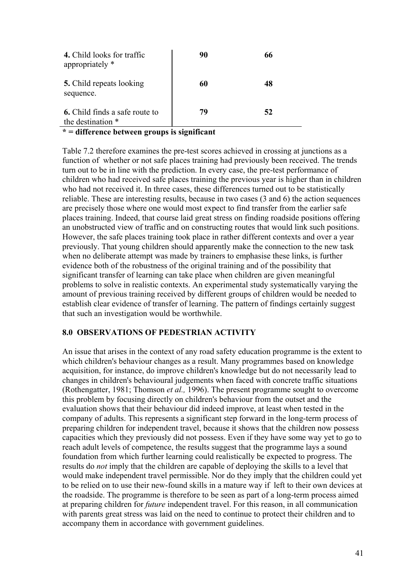| 4. Child looks for traffic<br>appropriately *              | 90 | 66 |
|------------------------------------------------------------|----|----|
| <b>5.</b> Child repeats looking<br>sequence.               | 60 | 48 |
| <b>6.</b> Child finds a safe route to<br>the destination * | 79 | 52 |

**\* = difference between groups is significant** 

Table 7.2 therefore examines the pre-test scores achieved in crossing at junctions as a function of whether or not safe places training had previously been received. The trends turn out to be in line with the prediction. In every case, the pre-test performance of children who had received safe places training the previous year is higher than in children who had not received it. In three cases, these differences turned out to be statistically reliable. These are interesting results, because in two cases (3 and 6) the action sequences are precisely those where one would most expect to find transfer from the earlier safe places training. Indeed, that course laid great stress on finding roadside positions offering an unobstructed view of traffic and on constructing routes that would link such positions. However, the safe places training took place in rather different contexts and over a year previously. That young children should apparently make the connection to the new task when no deliberate attempt was made by trainers to emphasise these links, is further evidence both of the robustness of the original training and of the possibility that significant transfer of learning can take place when children are given meaningful problems to solve in realistic contexts. An experimental study systematically varying the amount of previous training received by different groups of children would be needed to establish clear evidence of transfer of learning. The pattern of findings certainly suggest that such an investigation would be worthwhile.

## **8.0 OBSERVATIONS OF PEDESTRIAN ACTIVITY**

An issue that arises in the context of any road safety education programme is the extent to which children's behaviour changes as a result. Many programmes based on knowledge acquisition, for instance, do improve children's knowledge but do not necessarily lead to changes in children's behavioural judgements when faced with concrete traffic situations (Rothengatter, 1981; Thomson *et al.,* 1996). The present programme sought to overcome this problem by focusing directly on children's behaviour from the outset and the evaluation shows that their behaviour did indeed improve, at least when tested in the company of adults. This represents a significant step forward in the long-term process of preparing children for independent travel, because it shows that the children now possess capacities which they previously did not possess. Even if they have some way yet to go to reach adult levels of competence, the results suggest that the programme lays a sound foundation from which further learning could realistically be expected to progress. The results do *not* imply that the children are capable of deploying the skills to a level that would make independent travel permissible. Nor do they imply that the children could yet to be relied on to use their new-found skills in a mature way if left to their own devices at the roadside. The programme is therefore to be seen as part of a long-term process aimed at preparing children for *future* independent travel. For this reason, in all communication with parents great stress was laid on the need to continue to protect their children and to accompany them in accordance with government guidelines.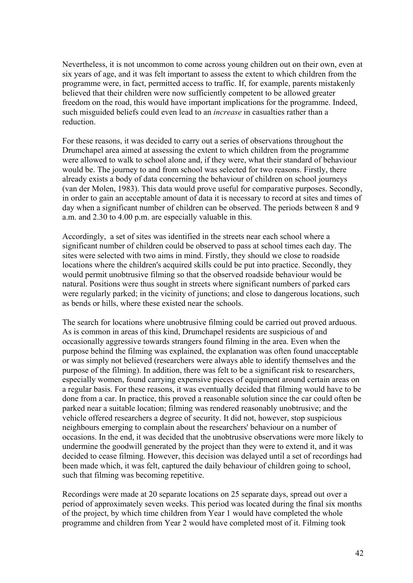Nevertheless, it is not uncommon to come across young children out on their own, even at six years of age, and it was felt important to assess the extent to which children from the programme were, in fact, permitted access to traffic. If, for example, parents mistakenly believed that their children were now sufficiently competent to be allowed greater freedom on the road, this would have important implications for the programme. Indeed, such misguided beliefs could even lead to an *increase* in casualties rather than a reduction.

For these reasons, it was decided to carry out a series of observations throughout the Drumchapel area aimed at assessing the extent to which children from the programme were allowed to walk to school alone and, if they were, what their standard of behaviour would be. The journey to and from school was selected for two reasons. Firstly, there already exists a body of data concerning the behaviour of children on school journeys (van der Molen, 1983). This data would prove useful for comparative purposes. Secondly, in order to gain an acceptable amount of data it is necessary to record at sites and times of day when a significant number of children can be observed. The periods between 8 and 9 a.m. and 2.30 to 4.00 p.m. are especially valuable in this.

Accordingly, a set of sites was identified in the streets near each school where a significant number of children could be observed to pass at school times each day. The sites were selected with two aims in mind. Firstly, they should we close to roadside locations where the children's acquired skills could be put into practice. Secondly, they would permit unobtrusive filming so that the observed roadside behaviour would be natural. Positions were thus sought in streets where significant numbers of parked cars were regularly parked; in the vicinity of junctions; and close to dangerous locations, such as bends or hills, where these existed near the schools.

The search for locations where unobtrusive filming could be carried out proved arduous. As is common in areas of this kind, Drumchapel residents are suspicious of and occasionally aggressive towards strangers found filming in the area. Even when the purpose behind the filming was explained, the explanation was often found unacceptable or was simply not believed (researchers were always able to identify themselves and the purpose of the filming). In addition, there was felt to be a significant risk to researchers, especially women, found carrying expensive pieces of equipment around certain areas on a regular basis. For these reasons, it was eventually decided that filming would have to be done from a car. In practice, this proved a reasonable solution since the car could often be parked near a suitable location; filming was rendered reasonably unobtrusive; and the vehicle offered researchers a degree of security. It did not, however, stop suspicious neighbours emerging to complain about the researchers' behaviour on a number of occasions. In the end, it was decided that the unobtrusive observations were more likely to undermine the goodwill generated by the project than they were to extend it, and it was decided to cease filming. However, this decision was delayed until a set of recordings had been made which, it was felt, captured the daily behaviour of children going to school, such that filming was becoming repetitive.

Recordings were made at 20 separate locations on 25 separate days, spread out over a period of approximately seven weeks. This period was located during the final six months of the project, by which time children from Year 1 would have completed the whole programme and children from Year 2 would have completed most of it. Filming took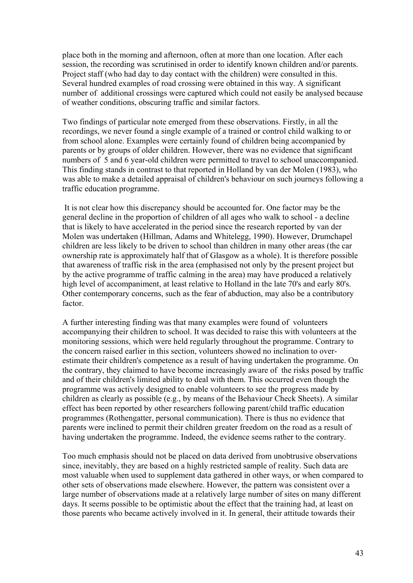place both in the morning and afternoon, often at more than one location. After each session, the recording was scrutinised in order to identify known children and/or parents. Project staff (who had day to day contact with the children) were consulted in this. Several hundred examples of road crossing were obtained in this way. A significant number of additional crossings were captured which could not easily be analysed because of weather conditions, obscuring traffic and similar factors.

Two findings of particular note emerged from these observations. Firstly, in all the recordings, we never found a single example of a trained or control child walking to or from school alone. Examples were certainly found of children being accompanied by parents or by groups of older children. However, there was no evidence that significant numbers of 5 and 6 year-old children were permitted to travel to school unaccompanied. This finding stands in contrast to that reported in Holland by van der Molen (1983), who was able to make a detailed appraisal of children's behaviour on such journeys following a traffic education programme.

 It is not clear how this discrepancy should be accounted for. One factor may be the general decline in the proportion of children of all ages who walk to school - a decline that is likely to have accelerated in the period since the research reported by van der Molen was undertaken (Hillman, Adams and Whitelegg, 1990). However, Drumchapel children are less likely to be driven to school than children in many other areas (the car ownership rate is approximately half that of Glasgow as a whole). It is therefore possible that awareness of traffic risk in the area (emphasised not only by the present project but by the active programme of traffic calming in the area) may have produced a relatively high level of accompaniment, at least relative to Holland in the late 70's and early 80's. Other contemporary concerns, such as the fear of abduction, may also be a contributory factor.

A further interesting finding was that many examples were found of volunteers accompanying their children to school. It was decided to raise this with volunteers at the monitoring sessions, which were held regularly throughout the programme. Contrary to the concern raised earlier in this section, volunteers showed no inclination to overestimate their children's competence as a result of having undertaken the programme. On the contrary, they claimed to have become increasingly aware of the risks posed by traffic and of their children's limited ability to deal with them. This occurred even though the programme was actively designed to enable volunteers to see the progress made by children as clearly as possible (e.g., by means of the Behaviour Check Sheets). A similar effect has been reported by other researchers following parent/child traffic education programmes (Rothengatter, personal communication). There is thus no evidence that parents were inclined to permit their children greater freedom on the road as a result of having undertaken the programme. Indeed, the evidence seems rather to the contrary.

Too much emphasis should not be placed on data derived from unobtrusive observations since, inevitably, they are based on a highly restricted sample of reality. Such data are most valuable when used to supplement data gathered in other ways, or when compared to other sets of observations made elsewhere. However, the pattern was consistent over a large number of observations made at a relatively large number of sites on many different days. It seems possible to be optimistic about the effect that the training had, at least on those parents who became actively involved in it. In general, their attitude towards their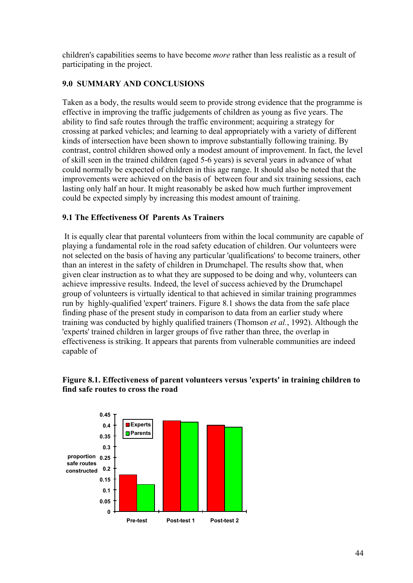children's capabilities seems to have become *more* rather than less realistic as a result of participating in the project.

## **9.0 SUMMARY AND CONCLUSIONS**

Taken as a body, the results would seem to provide strong evidence that the programme is effective in improving the traffic judgements of children as young as five years. The ability to find safe routes through the traffic environment; acquiring a strategy for crossing at parked vehicles; and learning to deal appropriately with a variety of different kinds of intersection have been shown to improve substantially following training. By contrast, control children showed only a modest amount of improvement. In fact, the level of skill seen in the trained children (aged 5-6 years) is several years in advance of what could normally be expected of children in this age range. It should also be noted that the improvements were achieved on the basis of between four and six training sessions, each lasting only half an hour. It might reasonably be asked how much further improvement could be expected simply by increasing this modest amount of training.

## **9.1 The Effectiveness Of Parents As Trainers**

 It is equally clear that parental volunteers from within the local community are capable of playing a fundamental role in the road safety education of children. Our volunteers were not selected on the basis of having any particular 'qualifications' to become trainers, other than an interest in the safety of children in Drumchapel. The results show that, when given clear instruction as to what they are supposed to be doing and why, volunteers can achieve impressive results. Indeed, the level of success achieved by the Drumchapel group of volunteers is virtually identical to that achieved in similar training programmes run by highly-qualified 'expert' trainers. Figure 8.1 shows the data from the safe place finding phase of the present study in comparison to data from an earlier study where training was conducted by highly qualified trainers (Thomson *et al.*, 1992). Although the 'experts' trained children in larger groups of five rather than three, the overlap in effectiveness is striking. It appears that parents from vulnerable communities are indeed capable of

#### **Figure 8.1. Effectiveness of parent volunteers versus 'experts' in training children to find safe routes to cross the road**

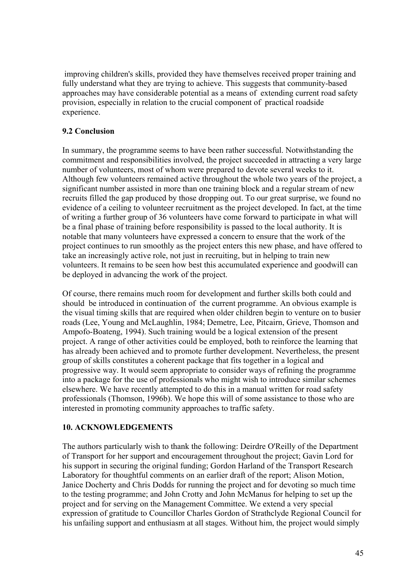improving children's skills, provided they have themselves received proper training and fully understand what they are trying to achieve. This suggests that community-based approaches may have considerable potential as a means of extending current road safety provision, especially in relation to the crucial component of practical roadside experience.

# **9.2 Conclusion**

In summary, the programme seems to have been rather successful. Notwithstanding the commitment and responsibilities involved, the project succeeded in attracting a very large number of volunteers, most of whom were prepared to devote several weeks to it. Although few volunteers remained active throughout the whole two years of the project, a significant number assisted in more than one training block and a regular stream of new recruits filled the gap produced by those dropping out. To our great surprise, we found no evidence of a ceiling to volunteer recruitment as the project developed. In fact, at the time of writing a further group of 36 volunteers have come forward to participate in what will be a final phase of training before responsibility is passed to the local authority. It is notable that many volunteers have expressed a concern to ensure that the work of the project continues to run smoothly as the project enters this new phase, and have offered to take an increasingly active role, not just in recruiting, but in helping to train new volunteers. It remains to be seen how best this accumulated experience and goodwill can be deployed in advancing the work of the project.

Of course, there remains much room for development and further skills both could and should be introduced in continuation of the current programme. An obvious example is the visual timing skills that are required when older children begin to venture on to busier roads (Lee, Young and McLaughlin, 1984; Demetre, Lee, Pitcairn, Grieve, Thomson and Ampofo-Boateng, 1994). Such training would be a logical extension of the present project. A range of other activities could be employed, both to reinforce the learning that has already been achieved and to promote further development. Nevertheless, the present group of skills constitutes a coherent package that fits together in a logical and progressive way. It would seem appropriate to consider ways of refining the programme into a package for the use of professionals who might wish to introduce similar schemes elsewhere. We have recently attempted to do this in a manual written for road safety professionals (Thomson, 1996b). We hope this will of some assistance to those who are interested in promoting community approaches to traffic safety.

# **10. ACKNOWLEDGEMENTS**

The authors particularly wish to thank the following: Deirdre O'Reilly of the Department of Transport for her support and encouragement throughout the project; Gavin Lord for his support in securing the original funding; Gordon Harland of the Transport Research Laboratory for thoughtful comments on an earlier draft of the report; Alison Motion, Janice Docherty and Chris Dodds for running the project and for devoting so much time to the testing programme; and John Crotty and John McManus for helping to set up the project and for serving on the Management Committee. We extend a very special expression of gratitude to Councillor Charles Gordon of Strathclyde Regional Council for his unfailing support and enthusiasm at all stages. Without him, the project would simply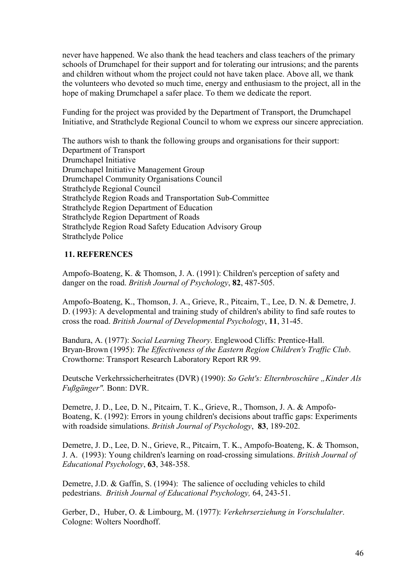never have happened. We also thank the head teachers and class teachers of the primary schools of Drumchapel for their support and for tolerating our intrusions; and the parents and children without whom the project could not have taken place. Above all, we thank the volunteers who devoted so much time, energy and enthusiasm to the project, all in the hope of making Drumchapel a safer place. To them we dedicate the report.

Funding for the project was provided by the Department of Transport, the Drumchapel Initiative, and Strathclyde Regional Council to whom we express our sincere appreciation.

The authors wish to thank the following groups and organisations for their support: Department of Transport Drumchapel Initiative Drumchapel Initiative Management Group Drumchapel Community Organisations Council Strathclyde Regional Council Strathclyde Region Roads and Transportation Sub-Committee Strathclyde Region Department of Education Strathclyde Region Department of Roads Strathclyde Region Road Safety Education Advisory Group Strathclyde Police

## **11. REFERENCES**

Ampofo-Boateng, K. & Thomson, J. A. (1991): Children's perception of safety and danger on the road. *British Journal of Psychology*, **82**, 487-505.

Ampofo-Boateng, K., Thomson, J. A., Grieve, R., Pitcairn, T., Lee, D. N. & Demetre, J. D. (1993): A developmental and training study of children's ability to find safe routes to cross the road. *British Journal of Developmental Psychology*, **11**, 31-45.

Bandura, A. (1977): *Social Learning Theory*. Englewood Cliffs: Prentice-Hall. Bryan-Brown (1995): *The Effectiveness of the Eastern Region Children's Traffic Club*. Crowthorne: Transport Research Laboratory Report RR 99.

Deutsche Verkehrssicherheitrates (DVR) (1990): *So Geht's: Elternbroschüre "Kinder Als Fuflg‰nger".* Bonn: DVR.

Demetre, J. D., Lee, D. N., Pitcairn, T. K., Grieve, R., Thomson, J. A. & Ampofo-Boateng, K. (1992): Errors in young children's decisions about traffic gaps: Experiments with roadside simulations. *British Journal of Psychology*, **83**, 189-202.

Demetre, J. D., Lee, D. N., Grieve, R., Pitcairn, T. K., Ampofo-Boateng, K. & Thomson, J. A. (1993): Young children's learning on road-crossing simulations. *British Journal of Educational Psychology*, **63**, 348-358.

Demetre, J.D. & Gaffin, S. (1994): The salience of occluding vehicles to child pedestrians. *British Journal of Educational Psychology,* 64, 243-51.

Gerber, D., Huber, O. & Limbourg, M. (1977): *Verkehrserziehung in Vorschulalter*. Cologne: Wolters Noordhoff.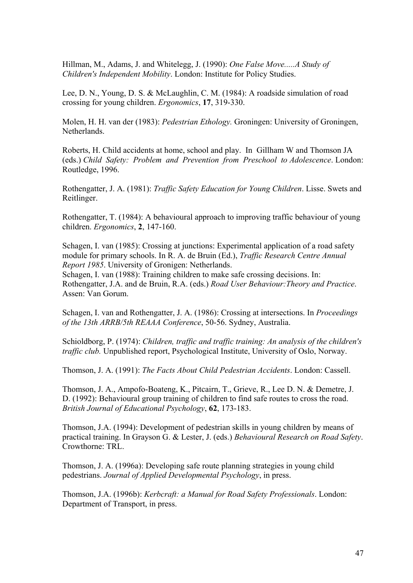Hillman, M., Adams, J. and Whitelegg, J. (1990): *One False Move.....A Study of Children's Independent Mobility*. London: Institute for Policy Studies.

Lee, D. N., Young, D. S. & McLaughlin, C. M. (1984): A roadside simulation of road crossing for young children. *Ergonomics*, **17**, 319-330.

Molen, H. H. van der (1983): *Pedestrian Ethology.* Groningen: University of Groningen, Netherlands.

Roberts, H. Child accidents at home, school and play. In Gillham W and Thomson JA (eds.) *Child Safety: Problem and Prevention from Preschool to Adolescence*. London: Routledge, 1996.

Rothengatter, J. A. (1981): *Traffic Safety Education for Young Children*. Lisse. Swets and Reitlinger.

Rothengatter, T. (1984): A behavioural approach to improving traffic behaviour of young children. *Ergonomics*, **2**, 147-160.

Schagen, I. van (1985): Crossing at junctions: Experimental application of a road safety module for primary schools. In R. A. de Bruin (Ed.), *Traffic Research Centre Annual Report 1985*. University of Gronigen: Netherlands.

Schagen, I. van (1988): Training children to make safe crossing decisions. In: Rothengatter, J.A. and de Bruin, R.A. (eds.) *Road User Behaviour:Theory and Practice*. Assen: Van Gorum.

Schagen, I. van and Rothengatter, J. A. (1986): Crossing at intersections. In *Proceedings of the 13th ARRB/5th REAAA Conference*, 50-56. Sydney, Australia.

Schioldborg, P. (1974): *Children, traffic and traffic training: An analysis of the children's traffic club.* Unpublished report, Psychological Institute, University of Oslo, Norway.

Thomson, J. A. (1991): *The Facts About Child Pedestrian Accidents*. London: Cassell.

Thomson, J. A., Ampofo-Boateng, K., Pitcairn, T., Grieve, R., Lee D. N. & Demetre, J. D. (1992): Behavioural group training of children to find safe routes to cross the road. *British Journal of Educational Psychology*, **62**, 173-183.

Thomson, J.A. (1994): Development of pedestrian skills in young children by means of practical training. In Grayson G. & Lester, J. (eds.) *Behavioural Research on Road Safety*. Crowthorne: TRL.

Thomson, J. A. (1996a): Developing safe route planning strategies in young child pedestrians. *Journal of Applied Developmental Psychology*, in press.

Thomson, J.A. (1996b): *Kerbcraft: a Manual for Road Safety Professionals*. London: Department of Transport, in press.